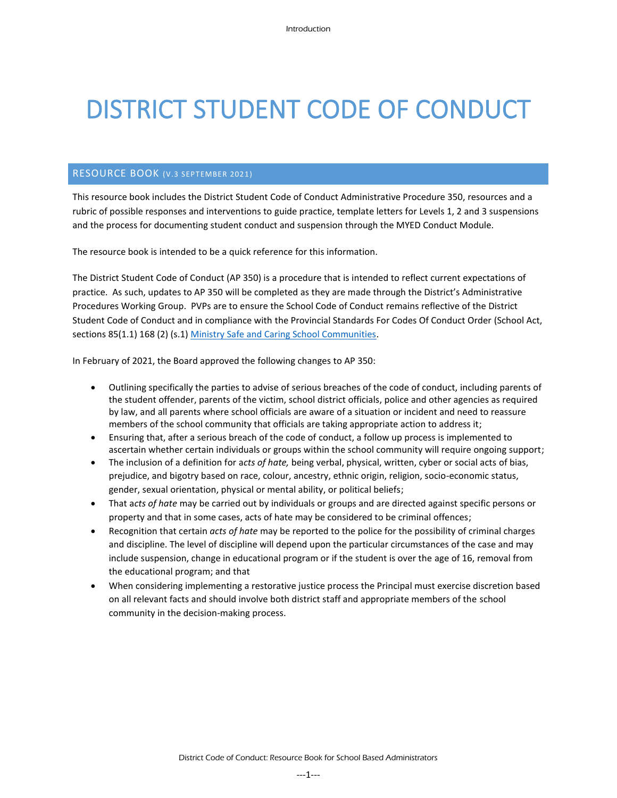# DISTRICT STUDENT CODE OF CONDUCT

#### RESOURCE BOOK (V.3 SEPTEMBER 2021)

This resource book includes the District Student Code of Conduct Administrative Procedure 350, resources and a rubric of possible responses and interventions to guide practice, template letters for Levels 1, 2 and 3 suspensions and the process for documenting student conduct and suspension through the MYED Conduct Module.

The resource book is intended to be a quick reference for this information.

The District Student Code of Conduct (AP 350) is a procedure that is intended to reflect current expectations of practice. As such, updates to AP 350 will be completed as they are made through the District's Administrative Procedures Working Group. PVPs are to ensure the School Code of Conduct remains reflective of the District Student Code of Conduct and in compliance with the Provincial Standards For Codes Of Conduct Order (School Act, sections 85(1.1) 168 (2) (s.1) [Ministry Safe and Caring School Communities.](https://www2.gov.bc.ca/gov/content/education-training/k-12/administration/legislation-policy/public-schools/safe-and-caring-school-communities)

In February of 2021, the Board approved the following changes to AP 350:

- Outlining specifically the parties to advise of serious breaches of the code of conduct, including parents of the student offender, parents of the victim, school district officials, police and other agencies as required by law, and all parents where school officials are aware of a situation or incident and need to reassure members of the school community that officials are taking appropriate action to address it;
- Ensuring that, after a serious breach of the code of conduct, a follow up process is implemented to ascertain whether certain individuals or groups within the school community will require ongoing support;
- The inclusion of a definition for a*cts of hate,* being verbal, physical, written, cyber or social acts of bias, prejudice, and bigotry based on race, colour, ancestry, ethnic origin, religion, socio-economic status, gender, sexual orientation, physical or mental ability, or political beliefs;
- That a*cts of hate* may be carried out by individuals or groups and are directed against specific persons or property and that in some cases, acts of hate may be considered to be criminal offences;
- Recognition that certain *acts of hate* may be reported to the police for the possibility of criminal charges and discipline. The level of discipline will depend upon the particular circumstances of the case and may include suspension, change in educational program or if the student is over the age of 16, removal from the educational program; and that
- When considering implementing a restorative justice process the Principal must exercise discretion based on all relevant facts and should involve both district staff and appropriate members of the school community in the decision-making process.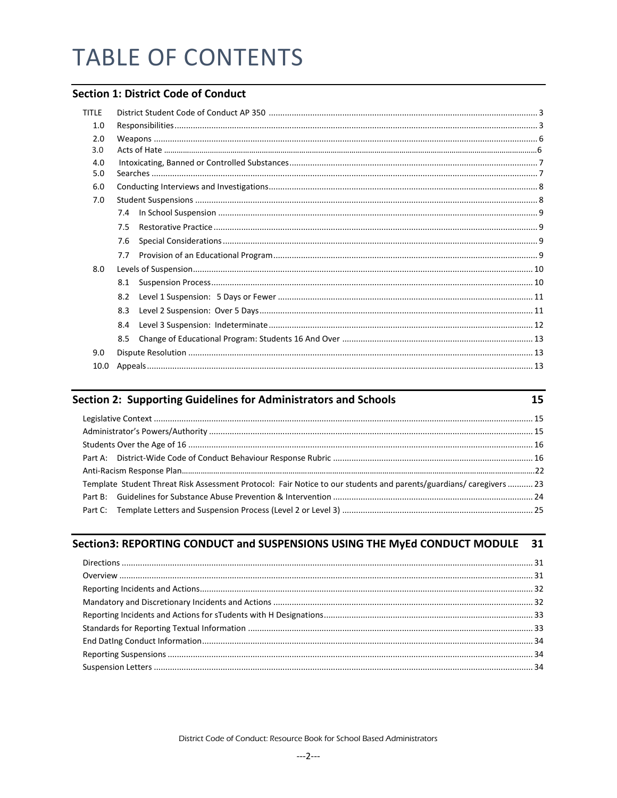# **TABLE OF CONTENTS**

# **Section 1: District Code of Conduct**

| <b>TITLE</b> |     |  |  |  |  |
|--------------|-----|--|--|--|--|
|              |     |  |  |  |  |
| 1.0          |     |  |  |  |  |
| 2.0          |     |  |  |  |  |
| 3.0          |     |  |  |  |  |
| 4.0          |     |  |  |  |  |
| 5.0          |     |  |  |  |  |
| 6.0          |     |  |  |  |  |
| 7.0          |     |  |  |  |  |
|              | 7.4 |  |  |  |  |
|              | 7.5 |  |  |  |  |
|              | 7.6 |  |  |  |  |
|              | 7.7 |  |  |  |  |
| 8.0          |     |  |  |  |  |
|              | 8.1 |  |  |  |  |
|              | 8.2 |  |  |  |  |
|              | 8.3 |  |  |  |  |
|              | 8.4 |  |  |  |  |
|              | 8.5 |  |  |  |  |
| 9.0          |     |  |  |  |  |
| 10.0         |     |  |  |  |  |
|              |     |  |  |  |  |

| Section 2: Supporting Guidelines for Administrators and Schools                                                     |  |
|---------------------------------------------------------------------------------------------------------------------|--|
|                                                                                                                     |  |
|                                                                                                                     |  |
|                                                                                                                     |  |
|                                                                                                                     |  |
|                                                                                                                     |  |
| Template Student Threat Risk Assessment Protocol: Fair Notice to our students and parents/guardians/ caregivers  23 |  |
|                                                                                                                     |  |
|                                                                                                                     |  |

# Section3: REPORTING CONDUCT and SUSPENSIONS USING THE MyEd CONDUCT MODULE 31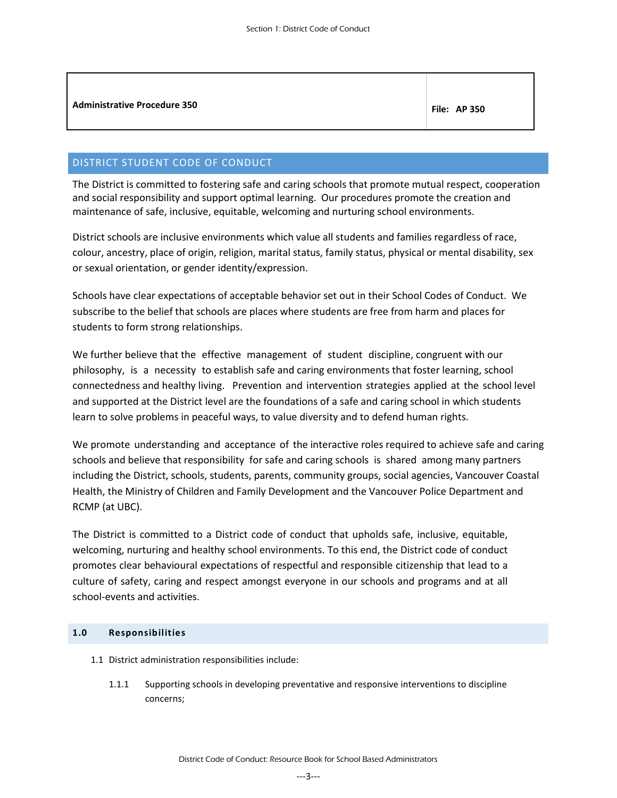| <b>Administrative Procedure 350</b> | <b>File: AP 350</b> |
|-------------------------------------|---------------------|
|                                     |                     |

# <span id="page-2-0"></span>DISTRICT STUDENT CODE OF CONDUCT

The District is committed to fostering safe and caring schools that promote mutual respect, cooperation and social responsibility and support optimal learning. Our procedures promote the creation and maintenance of safe, inclusive, equitable, welcoming and nurturing school environments.

District schools are inclusive environments which value all students and families regardless of race, colour, ancestry, place of origin, religion, marital status, family status, physical or mental disability, sex or sexual orientation, or gender identity/expression.

Schools have clear expectations of acceptable behavior set out in their School Codes of Conduct. We subscribe to the belief that schools are places where students are free from harm and places for students to form strong relationships.

We further believe that the effective management of student discipline, congruent with our philosophy, is a necessity to establish safe and caring environments that foster learning, school connectedness and healthy living. Prevention and intervention strategies applied at the school level and supported at the District level are the foundations of a safe and caring school in which students learn to solve problems in peaceful ways, to value diversity and to defend human rights.

We promote understanding and acceptance of the interactive roles required to achieve safe and caring schools and believe that responsibility for safe and caring schools is shared among many partners including the District, schools, students, parents, community groups, social agencies, Vancouver Coastal Health, the Ministry of Children and Family Development and the Vancouver Police Department and RCMP (at UBC).

The District is committed to a District code of conduct that upholds safe, inclusive, equitable, welcoming, nurturing and healthy school environments. To this end, the District code of conduct promotes clear behavioural expectations of respectful and responsible citizenship that lead to a culture of safety, caring and respect amongst everyone in our schools and programs and at all school-events and activities.

# <span id="page-2-1"></span>**1.0 Responsibilities**

- 1.1 District administration responsibilities include:
	- 1.1.1 Supporting schools in developing preventative and responsive interventions to discipline concerns;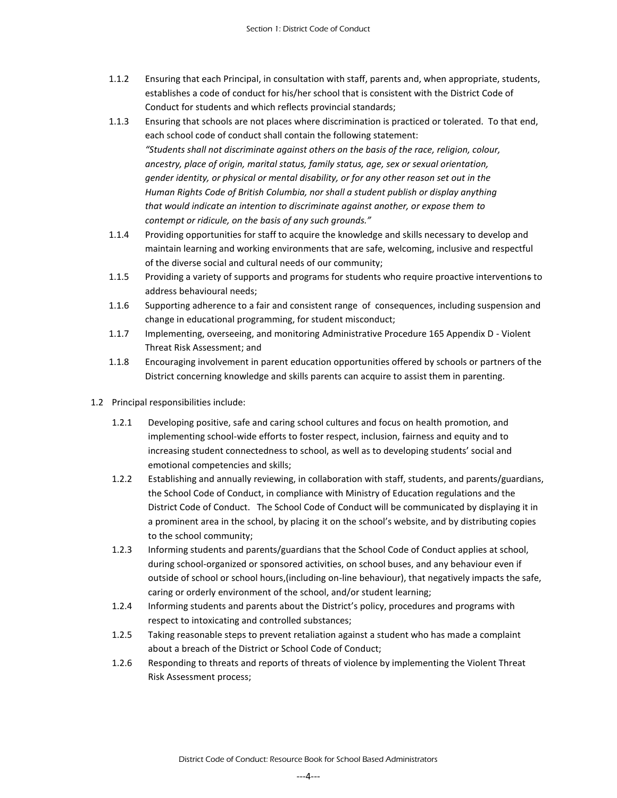- 1.1.2 Ensuring that each Principal, in consultation with staff, parents and, when appropriate, students, establishes a code of conduct for his/her school that is consistent with the District Code of Conduct for students and which reflects provincial standards;
- 1.1.3 Ensuring that schools are not places where discrimination is practiced or tolerated. To that end, each school code of conduct shall contain the following statement: *"Students shall not discriminate against others on the basis of the race, religion, colour, ancestry, place of origin, marital status, family status, age, sex or sexual orientation, gender identity, or physical or mental disability, or for any other reason set out in the Human Rights Code of British Columbia, nor shall a student publish or display anything that would indicate an intention to discriminate against another, or expose them to contempt or ridicule, on the basis of any such grounds."*
- 1.1.4 Providing opportunities for staff to acquire the knowledge and skills necessary to develop and maintain learning and working environments that are safe, welcoming, inclusive and respectful of the diverse social and cultural needs of our community;
- 1.1.5 Providing a variety of supports and programs for students who require proactive interventions to address behavioural needs;
- 1.1.6 Supporting adherence to a fair and consistent range of consequences, including suspension and change in educational programming, for student misconduct;
- 1.1.7 Implementing, overseeing, and monitoring Administrative Procedure 165 Appendix D Violent Threat Risk Assessment; and
- 1.1.8 Encouraging involvement in parent education opportunities offered by schools or partners of the District concerning knowledge and skills parents can acquire to assist them in parenting.
- 1.2 Principal responsibilities include:
	- 1.2.1 Developing positive, safe and caring school cultures and focus on health promotion, and implementing school-wide efforts to foster respect, inclusion, fairness and equity and to increasing student connectedness to school, as well as to developing students' social and emotional competencies and skills;
	- 1.2.2 Establishing and annually reviewing, in collaboration with staff, students, and parents/guardians, the School Code of Conduct, in compliance with Ministry of Education regulations and the District Code of Conduct. The School Code of Conduct will be communicated by displaying it in a prominent area in the school, by placing it on the school's website, and by distributing copies to the school community;
	- 1.2.3 Informing students and parents/guardians that the School Code of Conduct applies at school, during school-organized or sponsored activities, on school buses, and any behaviour even if outside of school or school hours,(including on-line behaviour), that negatively impacts the safe, caring or orderly environment of the school, and/or student learning;
	- 1.2.4 Informing students and parents about the District's policy, procedures and programs with respect to intoxicating and controlled substances;
	- 1.2.5 Taking reasonable steps to prevent retaliation against a student who has made a complaint about a breach of the District or School Code of Conduct;
	- 1.2.6 Responding to threats and reports of threats of violence by implementing the Violent Threat Risk Assessment process;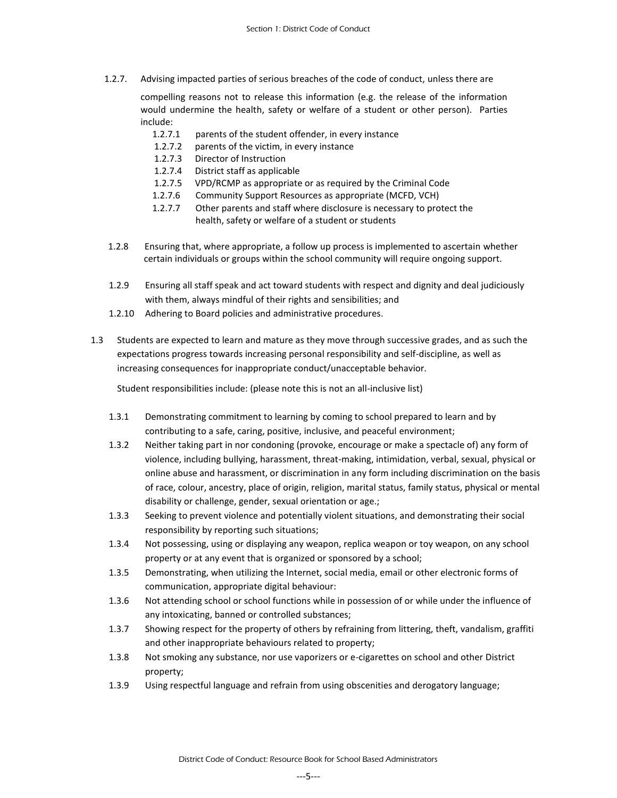1.2.7. Advising impacted parties of serious breaches of the code of conduct, unless there are

compelling reasons not to release this information (e.g. the release of the information would undermine the health, safety or welfare of a student or other person). Parties include:

- 1.2.7.1 parents of the student offender, in every instance
- 1.2.7.2 parents of the victim, in every instance
- 1.2.7.3 Director of Instruction
- 1.2.7.4 District staff as applicable
- 1.2.7.5 VPD/RCMP as appropriate or as required by the Criminal Code
- 1.2.7.6 Community Support Resources as appropriate (MCFD, VCH)
- 1.2.7.7 Other parents and staff where disclosure is necessary to protect the health, safety or welfare of a student or students
- 1.2.8 Ensuring that, where appropriate, a follow up process is implemented to ascertain whether certain individuals or groups within the school community will require ongoing support.
- 1.2.9 Ensuring all staff speak and act toward students with respect and dignity and deal judiciously with them, always mindful of their rights and sensibilities; and
- 1.2.10 Adhering to Board policies and administrative procedures.
- 1.3 Students are expected to learn and mature as they move through successive grades, and as such the expectations progress towards increasing personal responsibility and self-discipline, as well as increasing consequences for inappropriate conduct/unacceptable behavior.

Student responsibilities include: (please note this is not an all-inclusive list)

- 1.3.1 Demonstrating commitment to learning by coming to school prepared to learn and by contributing to a safe, caring, positive, inclusive, and peaceful environment;
- 1.3.2 Neither taking part in nor condoning (provoke, encourage or make a spectacle of) any form of violence, including bullying, harassment, threat-making, intimidation, verbal, sexual, physical or online abuse and harassment, or discrimination in any form including discrimination on the basis of race, colour, ancestry, place of origin, religion, marital status, family status, physical or mental disability or challenge, gender, sexual orientation or age.;
- 1.3.3 Seeking to prevent violence and potentially violent situations, and demonstrating their social responsibility by reporting such situations;
- 1.3.4 Not possessing, using or displaying any weapon, replica weapon or toy weapon, on any school property or at any event that is organized or sponsored by a school;
- 1.3.5 Demonstrating, when utilizing the Internet, social media, email or other electronic forms of communication, appropriate digital behaviour:
- 1.3.6 Not attending school or school functions while in possession of or while under the influence of any intoxicating, banned or controlled substances;
- 1.3.7 Showing respect for the property of others by refraining from littering, theft, vandalism, graffiti and other inappropriate behaviours related to property;
- 1.3.8 Not smoking any substance, nor use vaporizers or e-cigarettes on school and other District property;
- 1.3.9 Using respectful language and refrain from using obscenities and derogatory language;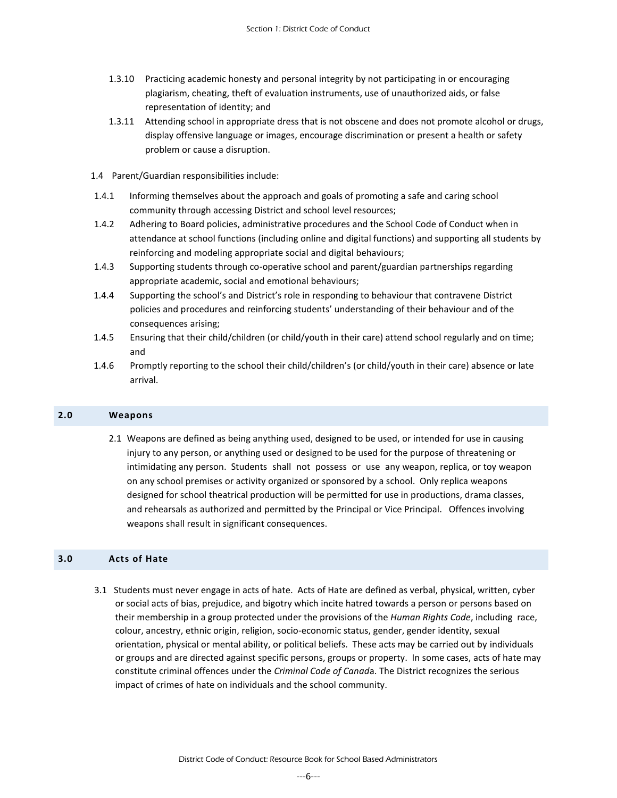- 1.3.10 Practicing academic honesty and personal integrity by not participating in or encouraging plagiarism, cheating, theft of evaluation instruments, use of unauthorized aids, or false representation of identity; and
- 1.3.11 Attending school in appropriate dress that is not obscene and does not promote alcohol or drugs, display offensive language or images, encourage discrimination or present a health or safety problem or cause a disruption.
- 1.4 Parent/Guardian responsibilities include:
- 1.4.1 Informing themselves about the approach and goals of promoting a safe and caring school community through accessing District and school level resources;
- 1.4.2 Adhering to Board policies, administrative procedures and the School Code of Conduct when in attendance at school functions (including online and digital functions) and supporting all students by reinforcing and modeling appropriate social and digital behaviours;
- 1.4.3 Supporting students through co-operative school and parent/guardian partnerships regarding appropriate academic, social and emotional behaviours;
- 1.4.4 Supporting the school's and District's role in responding to behaviour that contravene District policies and procedures and reinforcing students' understanding of their behaviour and of the consequences arising;
- 1.4.5 Ensuring that their child/children (or child/youth in their care) attend school regularly and on time; and
- 1.4.6 Promptly reporting to the school their child/children's (or child/youth in their care) absence or late arrival.

#### <span id="page-5-0"></span>**2.0 Weapons**

2.1 Weapons are defined as being anything used, designed to be used, or intended for use in causing injury to any person, or anything used or designed to be used for the purpose of threatening or intimidating any person. Students shall not possess or use any weapon, replica, or toy weapon on any school premises or activity organized or sponsored by a school. Only replica weapons designed for school theatrical production will be permitted for use in productions, drama classes, and rehearsals as authorized and permitted by the Principal or Vice Principal. Offences involving weapons shall result in significant consequences.

#### **3.0 Acts of Hate**

3.1 Students must never engage in acts of hate. Acts of Hate are defined as verbal, physical, written, cyber or social acts of bias, prejudice, and bigotry which incite hatred towards a person or persons based on their membership in a group protected under the provisions of the *Human Rights Code*, including race, colour, ancestry, ethnic origin, religion, socio-economic status, gender, gender identity, sexual orientation, physical or mental ability, or political beliefs. These acts may be carried out by individuals or groups and are directed against specific persons, groups or property. In some cases, acts of hate may constitute criminal offences under the *Criminal Code of Canad*a. The District recognizes the serious impact of crimes of hate on individuals and the school community.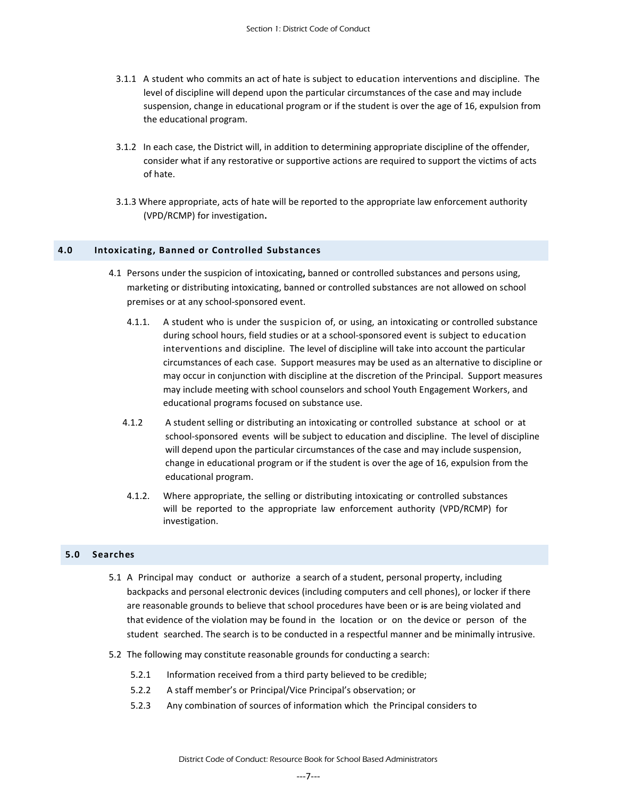- 3.1.1A student who commits an act of hate is subject to education interventions and discipline. The level of discipline will depend upon the particular circumstances of the case and may include suspension, change in educational program or if the student is over the age of 16, expulsion from the educational program.
- 3.1.2 In each case, the District will, in addition to determining appropriate discipline of the offender, consider what if any restorative or supportive actions are required to support the victims of acts of hate.
- 3.1.3 Where appropriate, acts of hate will be reported to the appropriate law enforcement authority (VPD/RCMP) for investigation**.**

#### <span id="page-6-0"></span>**4.0 Intoxicating, Banned or Controlled Substances**

- 4.1 Persons under the suspicion of intoxicating**,** banned or controlled substances and persons using, marketing or distributing intoxicating, banned or controlled substances are not allowed on school premises or at any school-sponsored event.
	- 4.1.1. A student who is under the suspicion of, or using, an intoxicating or controlled substance during school hours, field studies or at a school-sponsored event is subject to education interventions and discipline. The level of discipline will take into account the particular circumstances of each case. Support measures may be used as an alternative to discipline or may occur in conjunction with discipline at the discretion of the Principal. Support measures may include meeting with school counselors and school Youth Engagement Workers, and educational programs focused on substance use.
	- 4.1.2 A student selling or distributing an intoxicating or controlled substance at school or at school-sponsored events will be subject to education and discipline. The level of discipline will depend upon the particular circumstances of the case and may include suspension, change in educational program or if the student is over the age of 16, expulsion from the educational program.
	- 4.1.2. Where appropriate, the selling or distributing intoxicating or controlled substances will be reported to the appropriate law enforcement authority (VPD/RCMP) for investigation.

# <span id="page-6-1"></span>**5.0 Searches**

- 5.1 A Principal may conduct or authorize a search of a student, personal property, including backpacks and personal electronic devices (including computers and cell phones), or locker if there are reasonable grounds to believe that school procedures have been or is are being violated and that evidence of the violation may be found in the location or on the device or person of the student searched. The search is to be conducted in a respectful manner and be minimally intrusive.
- 5.2 The following may constitute reasonable grounds for conducting a search:
	- 5.2.1 Information received from a third party believed to be credible;
	- 5.2.2 A staff member's or Principal/Vice Principal's observation; or
	- 5.2.3 Any combination of sources of information which the Principal considers to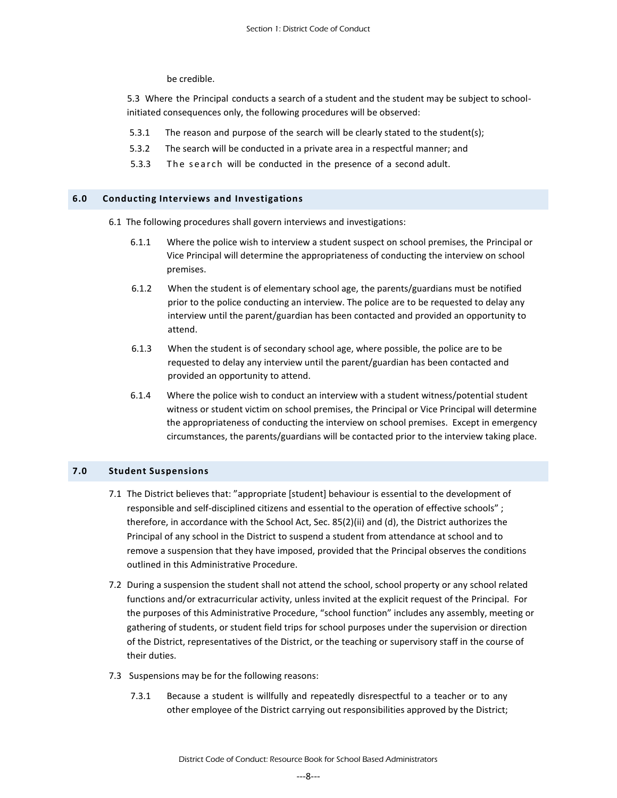be credible.

 5.3 Where the Principal conducts a search of a student and the student may be subject to schoolinitiated consequences only, the following procedures will be observed:

- 5.3.1 The reason and purpose of the search will be clearly stated to the student(s);
- 5.3.2 The search will be conducted in a private area in a respectful manner; and
- 5.3.3 The search will be conducted in the presence of a second adult.

#### <span id="page-7-0"></span>**6.0 Conducting Interviews and Investigations**

- 6.1 The following procedures shall govern interviews and investigations:
	- 6.1.1 Where the police wish to interview a student suspect on school premises, the Principal or Vice Principal will determine the appropriateness of conducting the interview on school premises.
	- 6.1.2 When the student is of elementary school age, the parents/guardians must be notified prior to the police conducting an interview. The police are to be requested to delay any interview until the parent/guardian has been contacted and provided an opportunity to attend.
	- 6.1.3 When the student is of secondary school age, where possible, the police are to be requested to delay any interview until the parent/guardian has been contacted and provided an opportunity to attend.
	- 6.1.4 Where the police wish to conduct an interview with a student witness/potential student witness or student victim on school premises, the Principal or Vice Principal will determine the appropriateness of conducting the interview on school premises. Except in emergency circumstances, the parents/guardians will be contacted prior to the interview taking place.

#### <span id="page-7-1"></span>**7.0 Student Suspensions**

- 7.1 The District believes that: "appropriate [student] behaviour is essential to the development of responsible and self-disciplined citizens and essential to the operation of effective schools" ; therefore, in accordance with the School Act, Sec. 85(2)(ii) and (d), the District authorizes the Principal of any school in the District to suspend a student from attendance at school and to remove a suspension that they have imposed, provided that the Principal observes the conditions outlined in this Administrative Procedure.
- 7.2 During a suspension the student shall not attend the school, school property or any school related functions and/or extracurricular activity, unless invited at the explicit request of the Principal. For the purposes of this Administrative Procedure, "school function" includes any assembly, meeting or gathering of students, or student field trips for school purposes under the supervision or direction of the District, representatives of the District, or the teaching or supervisory staff in the course of their duties.
- 7.3 Suspensions may be for the following reasons:
	- 7.3.1 Because a student is willfully and repeatedly disrespectful to a teacher or to any other employee of the District carrying out responsibilities approved by the District;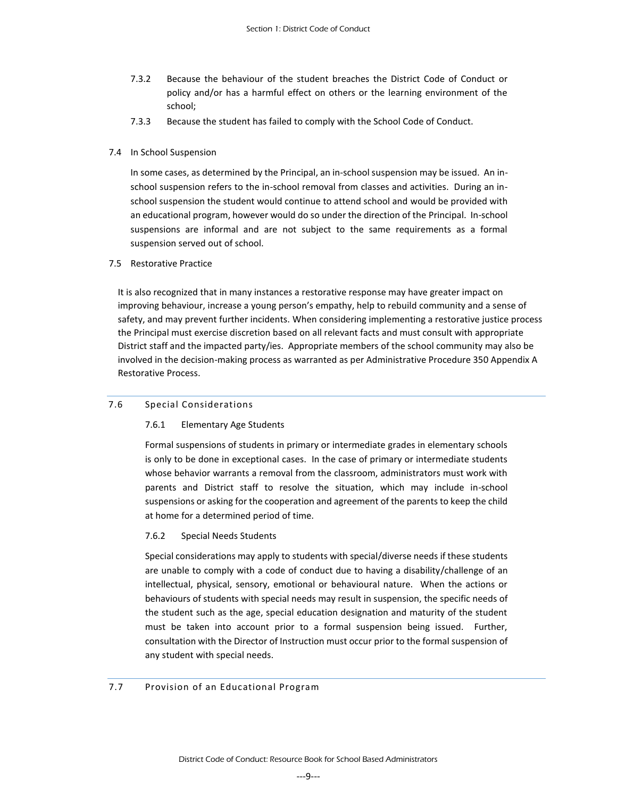- 7.3.2 Because the behaviour of the student breaches the District Code of Conduct or policy and/or has a harmful effect on others or the learning environment of the school;
- <span id="page-8-0"></span>7.3.3 Because the student has failed to comply with the School Code of Conduct.

#### 7.4 In School Suspension

<span id="page-8-1"></span>In some cases, as determined by the Principal, an in-school suspension may be issued. An inschool suspension refers to the in-school removal from classes and activities. During an inschool suspension the student would continue to attend school and would be provided with an educational program, however would do so under the direction of the Principal. In-school suspensions are informal and are not subject to the same requirements as a formal suspension served out of school.

#### <span id="page-8-2"></span>7.5 Restorative Practice

It is also recognized that in many instances a restorative response may have greater impact on improving behaviour, increase a young person's empathy, help to rebuild community and a sense of safety, and may prevent further incidents. When considering implementing a restorative justice process the Principal must exercise discretion based on all relevant facts and must consult with appropriate District staff and the impacted party/ies. Appropriate members of the school community may also be involved in the decision-making process as warranted as per Administrative Procedure 350 Appendix A Restorative Process.

#### 7.6 Special Considerations

#### 7.6.1 Elementary Age Students

Formal suspensions of students in primary or intermediate grades in elementary schools is only to be done in exceptional cases. In the case of primary or intermediate students whose behavior warrants a removal from the classroom, administrators must work with parents and District staff to resolve the situation, which may include in-school suspensions or asking for the cooperation and agreement of the parents to keep the child at home for a determined period of time.

#### 7.6.2 Special Needs Students

Special considerations may apply to students with special/diverse needs if these students are unable to comply with a code of conduct due to having a disability/challenge of an intellectual, physical, sensory, emotional or behavioural nature. When the actions or behaviours of students with special needs may result in suspension, the specific needs of the student such as the age, special education designation and maturity of the student must be taken into account prior to a formal suspension being issued. Further, consultation with the Director of Instruction must occur prior to the formal suspension of any student with special needs.

#### <span id="page-8-3"></span>7.7 Provision of an Educational Program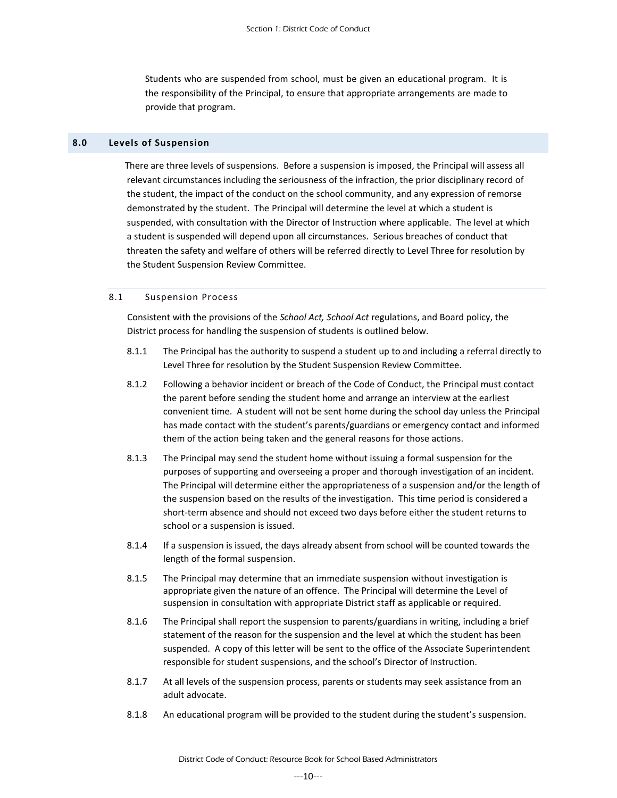Students who are suspended from school, must be given an educational program. It is the responsibility of the Principal, to ensure that appropriate arrangements are made to provide that program.

#### <span id="page-9-0"></span>**8.0 Levels of Suspension**

 There are three levels of suspensions. Before a suspension is imposed, the Principal will assess all relevant circumstances including the seriousness of the infraction, the prior disciplinary record of the student, the impact of the conduct on the school community, and any expression of remorse demonstrated by the student. The Principal will determine the level at which a student is suspended, with consultation with the Director of Instruction where applicable. The level at which a student is suspended will depend upon all circumstances. Serious breaches of conduct that threaten the safety and welfare of others will be referred directly to Level Three for resolution by the Student Suspension Review Committee.

#### <span id="page-9-1"></span>8.1 Suspension Process

 Consistent with the provisions of the *School Act, School Act* regulations, and Board policy, the District process for handling the suspension of students is outlined below.

- 8.1.1 The Principal has the authority to suspend a student up to and including a referral directly to Level Three for resolution by the Student Suspension Review Committee.
- 8.1.2 Following a behavior incident or breach of the Code of Conduct, the Principal must contact the parent before sending the student home and arrange an interview at the earliest convenient time. A student will not be sent home during the school day unless the Principal has made contact with the student's parents/guardians or emergency contact and informed them of the action being taken and the general reasons for those actions.
- 8.1.3 The Principal may send the student home without issuing a formal suspension for the purposes of supporting and overseeing a proper and thorough investigation of an incident. The Principal will determine either the appropriateness of a suspension and/or the length of the suspension based on the results of the investigation. This time period is considered a short-term absence and should not exceed two days before either the student returns to school or a suspension is issued.
- 8.1.4 If a suspension is issued, the days already absent from school will be counted towards the length of the formal suspension.
- 8.1.5 The Principal may determine that an immediate suspension without investigation is appropriate given the nature of an offence. The Principal will determine the Level of suspension in consultation with appropriate District staff as applicable or required.
- 8.1.6 The Principal shall report the suspension to parents/guardians in writing, including a brief statement of the reason for the suspension and the level at which the student has been suspended. A copy of this letter will be sent to the office of the Associate Superintendent responsible for student suspensions, and the school's Director of Instruction.
- 8.1.7 At all levels of the suspension process, parents or students may seek assistance from an adult advocate.
- 8.1.8 An educational program will be provided to the student during the student's suspension.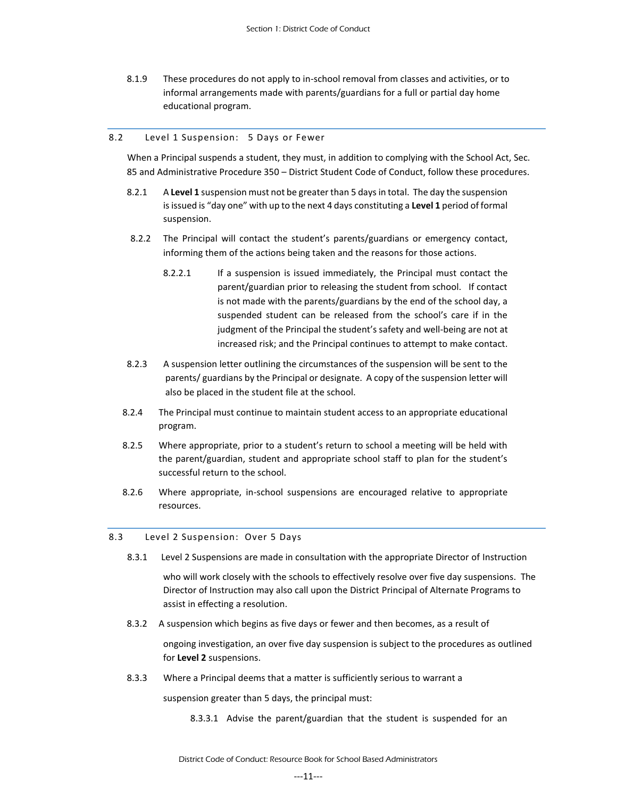8.1.9 These procedures do not apply to in-school removal from classes and activities, or to informal arrangements made with parents/guardians for a full or partial day home educational program.

#### <span id="page-10-0"></span>8.2 Level 1 Suspension: 5 Days or Fewer

 When a Principal suspends a student, they must, in addition to complying with the School Act, Sec. 85 and Administrative Procedure 350 – District Student Code of Conduct, follow these procedures.

- 8.2.1 A **Level 1** suspension must not be greater than 5 days in total. The day the suspension is issued is "day one" with up to the next 4 days constituting a **Level 1** period of formal suspension.
- 8.2.2 The Principal will contact the student's parents/guardians or emergency contact, informing them of the actions being taken and the reasons for those actions.
	- 8.2.2.1 If a suspension is issued immediately, the Principal must contact the parent/guardian prior to releasing the student from school. If contact is not made with the parents/guardians by the end of the school day, a suspended student can be released from the school's care if in the judgment of the Principal the student's safety and well-being are not at increased risk; and the Principal continues to attempt to make contact.
- 8.2.3 A suspension letter outlining the circumstances of the suspension will be sent to the parents/ guardians by the Principal or designate. A copy of the suspension letter will also be placed in the student file at the school.
- 8.2.4 The Principal must continue to maintain student access to an appropriate educational program.
- 8.2.5 Where appropriate, prior to a student's return to school a meeting will be held with the parent/guardian, student and appropriate school staff to plan for the student's successful return to the school.
- 8.2.6 Where appropriate, in-school suspensions are encouraged relative to appropriate resources.

#### <span id="page-10-1"></span>8.3 Level 2 Suspension: Over 5 Days

8.3.1 Level 2 Suspensions are made in consultation with the appropriate Director of Instruction

who will work closely with the schools to effectively resolve over five day suspensions. The Director of Instruction may also call upon the District Principal of Alternate Programs to assist in effecting a resolution.

8.3.2 A suspension which begins as five days or fewer and then becomes, as a result of

ongoing investigation, an over five day suspension is subject to the procedures as outlined for **Level 2** suspensions.

8.3.3 Where a Principal deems that a matter is sufficiently serious to warrant a

suspension greater than 5 days, the principal must:

8.3.3.1 Advise the parent/guardian that the student is suspended for an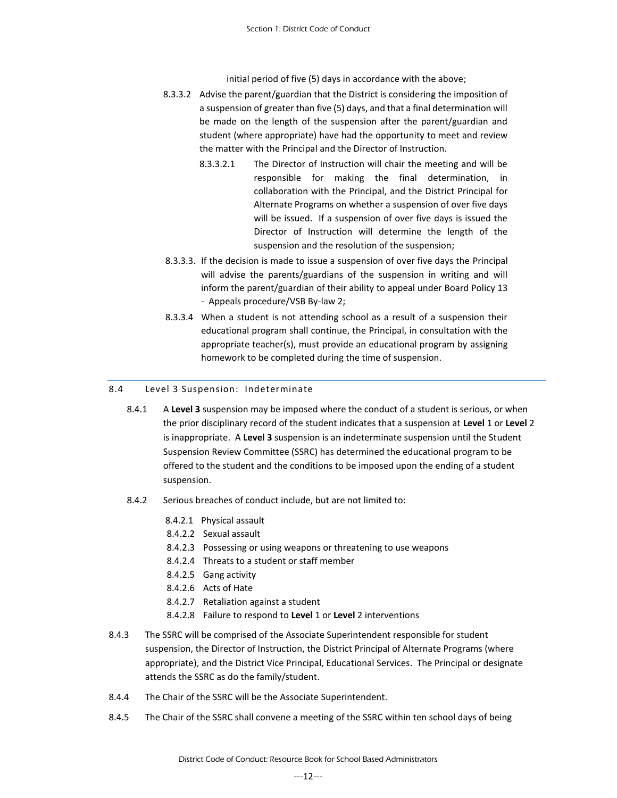initial period of five (5) days in accordance with the above;

- 8.3.3.2 Advise the parent/guardian that the District is considering the imposition of a suspension of greater than five (5) days, and that a final determination will be made on the length of the suspension after the parent/guardian and student (where appropriate) have had the opportunity to meet and review the matter with the Principal and the Director of Instruction.
	- 8.3.3.2.1 The Director of Instruction will chair the meeting and will be responsible for making the final determination, in collaboration with the Principal, and the District Principal for Alternate Programs on whether a suspension of over five days will be issued. If a suspension of over five days is issued the Director of Instruction will determine the length of the suspension and the resolution of the suspension;
- 8.3.3.3. If the decision is made to issue a suspension of over five days the Principal will advise the parents/guardians of the suspension in writing and will inform the parent/guardian of their ability to appeal under Board Policy 13 - Appeals procedure/VSB By-law 2;
- 8.3.3.4 When a student is not attending school as a result of a suspension their educational program shall continue, the Principal, in consultation with the appropriate teacher(s), must provide an educational program by assigning homework to be completed during the time of suspension.

#### <span id="page-11-0"></span>8.4 Level 3 Suspension: Indeterminate

- 8.4.1 A **Level 3** suspension may be imposed where the conduct of a student is serious, or when the prior disciplinary record of the student indicates that a suspension at **Level** 1 or **Level** 2 is inappropriate. A **Level 3** suspension is an indeterminate suspension until the Student Suspension Review Committee (SSRC) has determined the educational program to be offered to the student and the conditions to be imposed upon the ending of a student suspension.
- 8.4.2 Serious breaches of conduct include, but are not limited to:
	- 8.4.2.1 Physical assault
	- 8.4.2.2 Sexual assault
	- 8.4.2.3 Possessing or using weapons or threatening to use weapons
	- 8.4.2.4 Threats to a student or staff member
	- 8.4.2.5 Gang activity
	- 8.4.2.6 Acts of Hate
	- 8.4.2.7 Retaliation against a student
	- 8.4.2.8 Failure to respond to **Level** 1 or **Level** 2 interventions
- 8.4.3 The SSRC will be comprised of the Associate Superintendent responsible for student suspension, the Director of Instruction, the District Principal of Alternate Programs (where appropriate), and the District Vice Principal, Educational Services. The Principal or designate attends the SSRC as do the family/student.
- 8.4.4 The Chair of the SSRC will be the Associate Superintendent.
- 8.4.5 The Chair of the SSRC shall convene a meeting of the SSRC within ten school days of being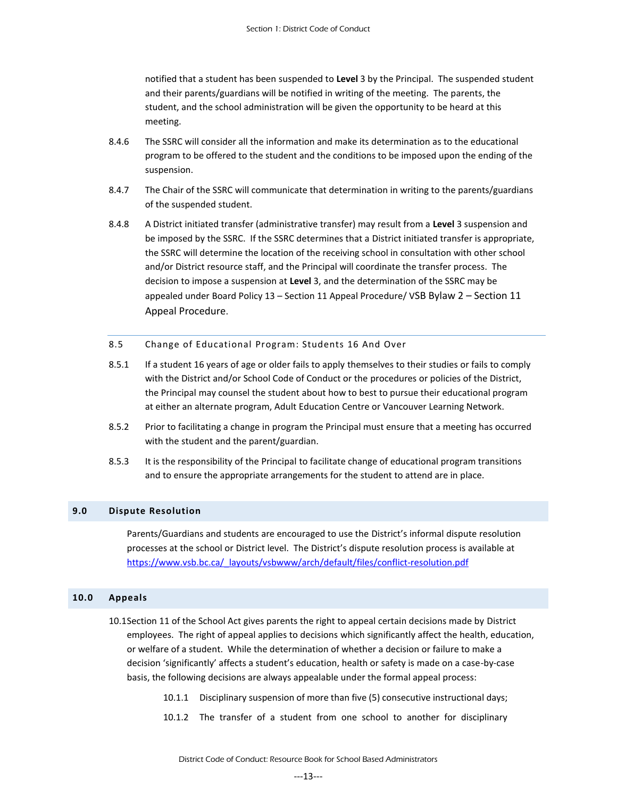notified that a student has been suspended to **Level** 3 by the Principal. The suspended student and their parents/guardians will be notified in writing of the meeting. The parents, the student, and the school administration will be given the opportunity to be heard at this meeting.

- 8.4.6 The SSRC will consider all the information and make its determination as to the educational program to be offered to the student and the conditions to be imposed upon the ending of the suspension.
- 8.4.7 The Chair of the SSRC will communicate that determination in writing to the parents/guardians of the suspended student.
- 8.4.8 A District initiated transfer (administrative transfer) may result from a **Level** 3 suspension and be imposed by the SSRC. If the SSRC determines that a District initiated transfer is appropriate, the SSRC will determine the location of the receiving school in consultation with other school and/or District resource staff, and the Principal will coordinate the transfer process. The decision to impose a suspension at **Level** 3, and the determination of the SSRC may be appealed under Board Policy 13 – Section 11 Appeal Procedure/ VSB Bylaw 2 – Section 11 Appeal Procedure.
- <span id="page-12-0"></span>8.5 Change of Educational Program: Students 16 And Over
- 8.5.1 If a student 16 years of age or older fails to apply themselves to their studies or fails to comply with the District and/or School Code of Conduct or the procedures or policies of the District, the Principal may counsel the student about how to best to pursue their educational program at either an alternate program, Adult Education Centre or Vancouver Learning Network.
- 8.5.2 Prior to facilitating a change in program the Principal must ensure that a meeting has occurred with the student and the parent/guardian.
- 8.5.3 It is the responsibility of the Principal to facilitate change of educational program transitions and to ensure the appropriate arrangements for the student to attend are in place.

#### <span id="page-12-1"></span>**9.0 Dispute Resolution**

Parents/Guardians and students are encouraged to use the District's informal dispute resolution processes at the school or District level. The District's dispute resolution process is available at [https://www.vsb.bc.ca/\\_layouts/vsbwww/arch/default/files/conflict-resolution.pdf](https://www.vsb.bc.ca/_layouts/vsbwww/arch/default/files/conflict-resolution.pdf)

#### <span id="page-12-2"></span>**10.0 Appeals**

- 10.1Section 11 of the School Act gives parents the right to appeal certain decisions made by District employees. The right of appeal applies to decisions which significantly affect the health, education, or welfare of a student. While the determination of whether a decision or failure to make a decision 'significantly' affects a student's education, health or safety is made on a case-by-case basis, the following decisions are always appealable under the formal appeal process:
	- 10.1.1 Disciplinary suspension of more than five (5) consecutive instructional days;
	- 10.1.2 The transfer of a student from one school to another for disciplinary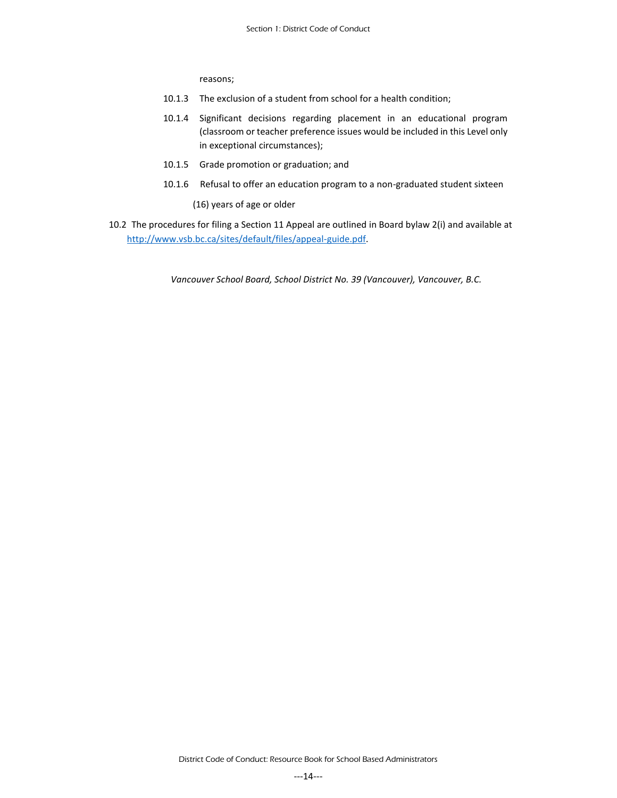reasons;

- 10.1.3 The exclusion of a student from school for a health condition;
- 10.1.4 Significant decisions regarding placement in an educational program (classroom or teacher preference issues would be included in this Level only in exceptional circumstances);
- 10.1.5 Grade promotion or graduation; and
- 10.1.6 Refusal to offer an education program to a non-graduated student sixteen

(16) years of age or older

10.2 The procedures for filing a Section 11 Appeal are outlined in Board bylaw 2(i) and available at [http://www.vsb.bc.ca/sites/default/files/appeal-guide.pdf.](http://www.vsb.bc.ca/sites/default/files/appeal-guide.pdf)

*Vancouver School Board, School District No. 39 (Vancouver), Vancouver, B.C.*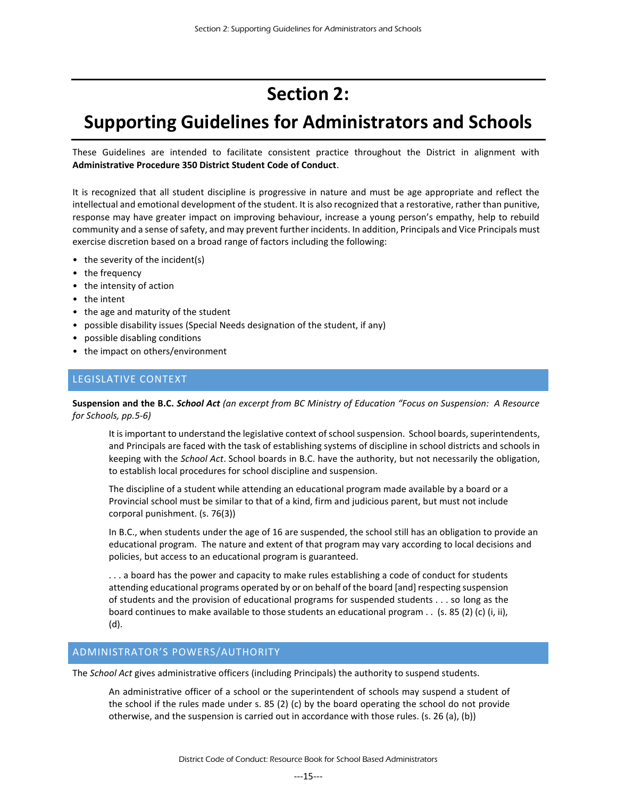# **Section 2:**

# <span id="page-14-0"></span>**Supporting Guidelines for Administrators and Schools**

These Guidelines are intended to facilitate consistent practice throughout the District in alignment with **Administrative Procedure 350 District Student Code of Conduct**.

It is recognized that all student discipline is progressive in nature and must be age appropriate and reflect the intellectual and emotional development of the student. It is also recognized that a restorative, rather than punitive, response may have greater impact on improving behaviour, increase a young person's empathy, help to rebuild community and a sense of safety, and may prevent further incidents. In addition, Principals and Vice Principals must exercise discretion based on a broad range of factors including the following:

- the severity of the incident(s)
- the frequency
- the intensity of action
- the intent
- the age and maturity of the student
- possible disability issues (Special Needs designation of the student, if any)
- possible disabling conditions
- <span id="page-14-1"></span>• the impact on others/environment

# LEGISLATIVE CONTEXT

**Suspension and the B.C.** *School Act (an excerpt from BC Ministry of Education "Focus on Suspension: A Resource for Schools, pp.5-6)*

It is important to understand the legislative context of school suspension. School boards, superintendents, and Principals are faced with the task of establishing systems of discipline in school districts and schools in keeping with the *School Act*. School boards in B.C. have the authority, but not necessarily the obligation, to establish local procedures for school discipline and suspension.

The discipline of a student while attending an educational program made available by a board or a Provincial school must be similar to that of a kind, firm and judicious parent, but must not include corporal punishment. (s. 76(3))

In B.C., when students under the age of 16 are suspended, the school still has an obligation to provide an educational program. The nature and extent of that program may vary according to local decisions and policies, but access to an educational program is guaranteed.

... a board has the power and capacity to make rules establishing a code of conduct for students attending educational programs operated by or on behalf of the board [and] respecting suspension of students and the provision of educational programs for suspended students . . . so long as the board continues to make available to those students an educational program . . (s. 85 (2) (c) (i, ii), (d).

# <span id="page-14-2"></span>ADMINISTRATOR'S POWERS/AUTHORITY

The *School Act* gives administrative officers (including Principals) the authority to suspend students.

An administrative officer of a school or the superintendent of schools may suspend a student of the school if the rules made under s. 85 (2) (c) by the board operating the school do not provide otherwise, and the suspension is carried out in accordance with those rules. (s. 26 (a), (b))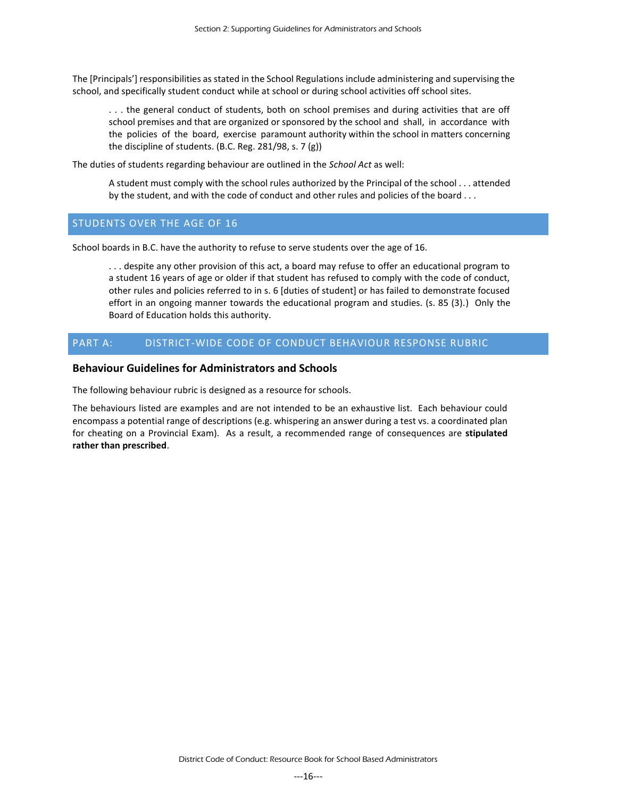The [Principals'] responsibilities as stated in the School Regulations include administering and supervising the school, and specifically student conduct while at school or during school activities off school sites.

. . . the general conduct of students, both on school premises and during activities that are off school premises and that are organized or sponsored by the school and shall, in accordance with the policies of the board, exercise paramount authority within the school in matters concerning the discipline of students. (B.C. Reg. 281/98, s. 7 (g))

The duties of students regarding behaviour are outlined in the *School Act* as well:

A student must comply with the school rules authorized by the Principal of the school . . . attended by the student, and with the code of conduct and other rules and policies of the board . . .

# <span id="page-15-0"></span>STUDENTS OVER THE AGE OF 16

School boards in B.C. have the authority to refuse to serve students over the age of 16.

. . . despite any other provision of this act, a board may refuse to offer an educational program to a student 16 years of age or older if that student has refused to comply with the code of conduct, other rules and policies referred to in s. 6 [duties of student] or has failed to demonstrate focused effort in an ongoing manner towards the educational program and studies. (s. 85 (3).) Only the Board of Education holds this authority.

# <span id="page-15-1"></span>PART A: DISTRICT-WIDE CODE OF CONDUCT BEHAVIOUR RESPONSE RUBRIC

# **Behaviour Guidelines for Administrators and Schools**

The following behaviour rubric is designed as a resource for schools.

The behaviours listed are examples and are not intended to be an exhaustive list. Each behaviour could encompass a potential range of descriptions (e.g. whispering an answer during a test vs. a coordinated plan for cheating on a Provincial Exam). As a result, a recommended range of consequences are **stipulated rather than prescribed**.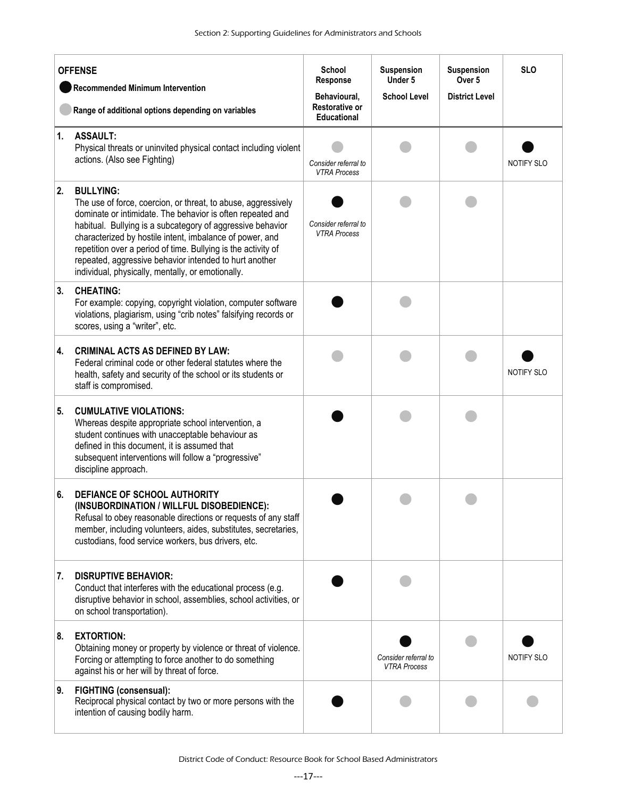| <b>OFFENSE</b> |                                                                                                                                                                                                                                                                                                                                                                                                                                                           | <b>School</b><br>Response                                   | <b>Suspension</b><br>Under 5                | <b>Suspension</b><br>Over 5 | <b>SLO</b>        |
|----------------|-----------------------------------------------------------------------------------------------------------------------------------------------------------------------------------------------------------------------------------------------------------------------------------------------------------------------------------------------------------------------------------------------------------------------------------------------------------|-------------------------------------------------------------|---------------------------------------------|-----------------------------|-------------------|
|                | <b>Recommended Minimum Intervention</b><br>Range of additional options depending on variables                                                                                                                                                                                                                                                                                                                                                             | Behavioural,<br><b>Restorative or</b><br><b>Educational</b> | <b>School Level</b>                         | <b>District Level</b>       |                   |
| 1.             | <b>ASSAULT:</b><br>Physical threats or uninvited physical contact including violent<br>actions. (Also see Fighting)                                                                                                                                                                                                                                                                                                                                       | Consider referral to<br><b>VTRA Process</b>                 |                                             |                             | NOTIFY SLO        |
| 2.             | <b>BULLYING:</b><br>The use of force, coercion, or threat, to abuse, aggressively<br>dominate or intimidate. The behavior is often repeated and<br>habitual. Bullying is a subcategory of aggressive behavior<br>characterized by hostile intent, imbalance of power, and<br>repetition over a period of time. Bullying is the activity of<br>repeated, aggressive behavior intended to hurt another<br>individual, physically, mentally, or emotionally. | Consider referral to<br><b>VTRA Process</b>                 |                                             |                             |                   |
| 3.             | <b>CHEATING:</b><br>For example: copying, copyright violation, computer software<br>violations, plagiarism, using "crib notes" falsifying records or<br>scores, using a "writer", etc.                                                                                                                                                                                                                                                                    |                                                             |                                             |                             |                   |
| 4.             | <b>CRIMINAL ACTS AS DEFINED BY LAW:</b><br>Federal criminal code or other federal statutes where the<br>health, safety and security of the school or its students or<br>staff is compromised.                                                                                                                                                                                                                                                             |                                                             |                                             |                             | <b>NOTIFY SLO</b> |
| 5.             | <b>CUMULATIVE VIOLATIONS:</b><br>Whereas despite appropriate school intervention, a<br>student continues with unacceptable behaviour as<br>defined in this document, it is assumed that<br>subsequent interventions will follow a "progressive"<br>discipline approach.                                                                                                                                                                                   |                                                             |                                             |                             |                   |
| 6.             | DEFIANCE OF SCHOOL AUTHORITY<br>(INSUBORDINATION / WILLFUL DISOBEDIENCE):<br>Refusal to obey reasonable directions or requests of any staff<br>member, including volunteers, aides, substitutes, secretaries,<br>custodians, food service workers, bus drivers, etc.                                                                                                                                                                                      |                                                             |                                             |                             |                   |
| 7.             | <b>DISRUPTIVE BEHAVIOR:</b><br>Conduct that interferes with the educational process (e.g.<br>disruptive behavior in school, assemblies, school activities, or<br>on school transportation).                                                                                                                                                                                                                                                               |                                                             |                                             |                             |                   |
| 8.             | <b>EXTORTION:</b><br>Obtaining money or property by violence or threat of violence.<br>Forcing or attempting to force another to do something<br>against his or her will by threat of force.                                                                                                                                                                                                                                                              |                                                             | Consider referral to<br><b>VTRA Process</b> |                             | NOTIFY SLO        |
| 9.             | <b>FIGHTING (consensual):</b><br>Reciprocal physical contact by two or more persons with the<br>intention of causing bodily harm.                                                                                                                                                                                                                                                                                                                         |                                                             |                                             |                             |                   |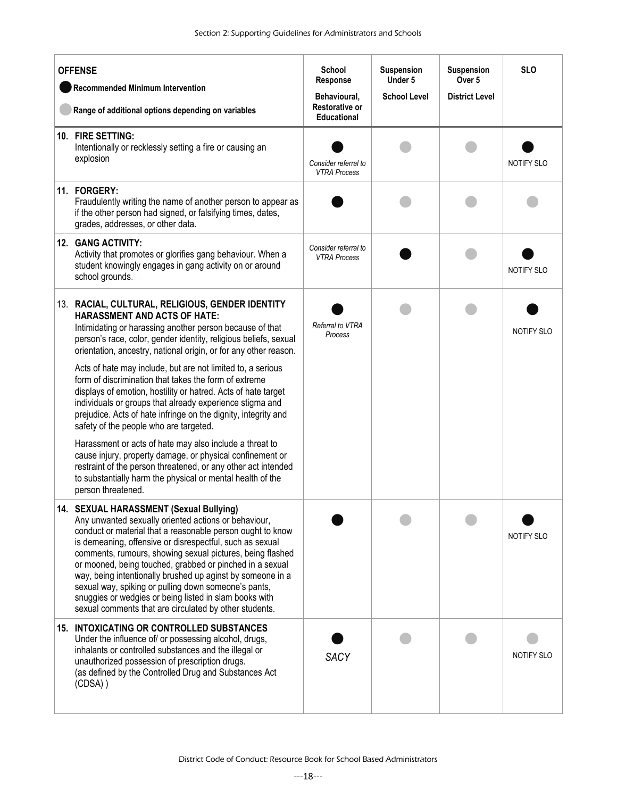| <b>OFFENSE</b><br><b>Recommended Minimum Intervention</b><br>Range of additional options depending on variables |                                                                                                                                                                                                                                                                                                                                                                                                                                                                                                                                                                                              | <b>School</b><br>Response<br>Behavioural,<br><b>Restorative or</b> | <b>Suspension</b><br>Under 5<br><b>School Level</b> | Suspension<br>Over <sub>5</sub><br><b>District Level</b> | <b>SLO</b>        |
|-----------------------------------------------------------------------------------------------------------------|----------------------------------------------------------------------------------------------------------------------------------------------------------------------------------------------------------------------------------------------------------------------------------------------------------------------------------------------------------------------------------------------------------------------------------------------------------------------------------------------------------------------------------------------------------------------------------------------|--------------------------------------------------------------------|-----------------------------------------------------|----------------------------------------------------------|-------------------|
|                                                                                                                 | 10. FIRE SETTING:<br>Intentionally or recklessly setting a fire or causing an<br>explosion                                                                                                                                                                                                                                                                                                                                                                                                                                                                                                   | <b>Educational</b><br>Consider referral to<br><b>VTRA Process</b>  |                                                     |                                                          | NOTIFY SLO        |
|                                                                                                                 | 11. FORGERY:<br>Fraudulently writing the name of another person to appear as<br>if the other person had signed, or falsifying times, dates,<br>grades, addresses, or other data.                                                                                                                                                                                                                                                                                                                                                                                                             |                                                                    |                                                     |                                                          |                   |
|                                                                                                                 | 12. GANG ACTIVITY:<br>Activity that promotes or glorifies gang behaviour. When a<br>student knowingly engages in gang activity on or around<br>school grounds.                                                                                                                                                                                                                                                                                                                                                                                                                               | Consider referral to<br><b>VTRA Process</b>                        |                                                     |                                                          | NOTIFY SLO        |
|                                                                                                                 | 13. RACIAL, CULTURAL, RELIGIOUS, GENDER IDENTITY<br><b>HARASSMENT AND ACTS OF HATE:</b><br>Intimidating or harassing another person because of that<br>person's race, color, gender identity, religious beliefs, sexual<br>orientation, ancestry, national origin, or for any other reason.<br>Acts of hate may include, but are not limited to, a serious<br>form of discrimination that takes the form of extreme                                                                                                                                                                          | Referral to VTRA<br>Process                                        |                                                     |                                                          | NOTIFY SLO        |
|                                                                                                                 | displays of emotion, hostility or hatred. Acts of hate target<br>individuals or groups that already experience stigma and<br>prejudice. Acts of hate infringe on the dignity, integrity and<br>safety of the people who are targeted.                                                                                                                                                                                                                                                                                                                                                        |                                                                    |                                                     |                                                          |                   |
|                                                                                                                 | Harassment or acts of hate may also include a threat to<br>cause injury, property damage, or physical confinement or<br>restraint of the person threatened, or any other act intended<br>to substantially harm the physical or mental health of the<br>person threatened.                                                                                                                                                                                                                                                                                                                    |                                                                    |                                                     |                                                          |                   |
|                                                                                                                 | 14. SEXUAL HARASSMENT (Sexual Bullying)<br>Any unwanted sexually oriented actions or behaviour,<br>conduct or material that a reasonable person ought to know<br>is demeaning, offensive or disrespectful, such as sexual<br>comments, rumours, showing sexual pictures, being flashed<br>or mooned, being touched, grabbed or pinched in a sexual<br>way, being intentionally brushed up aginst by someone in a<br>sexual way, spiking or pulling down someone's pants,<br>snuggies or wedgies or being listed in slam books with<br>sexual comments that are circulated by other students. |                                                                    |                                                     |                                                          | NOTIFY SLO        |
|                                                                                                                 | 15. INTOXICATING OR CONTROLLED SUBSTANCES<br>Under the influence of/ or possessing alcohol, drugs,<br>inhalants or controlled substances and the illegal or<br>unauthorized possession of prescription drugs.<br>(as defined by the Controlled Drug and Substances Act<br>(CDSA))                                                                                                                                                                                                                                                                                                            | <b>SACY</b>                                                        |                                                     |                                                          | <b>NOTIFY SLO</b> |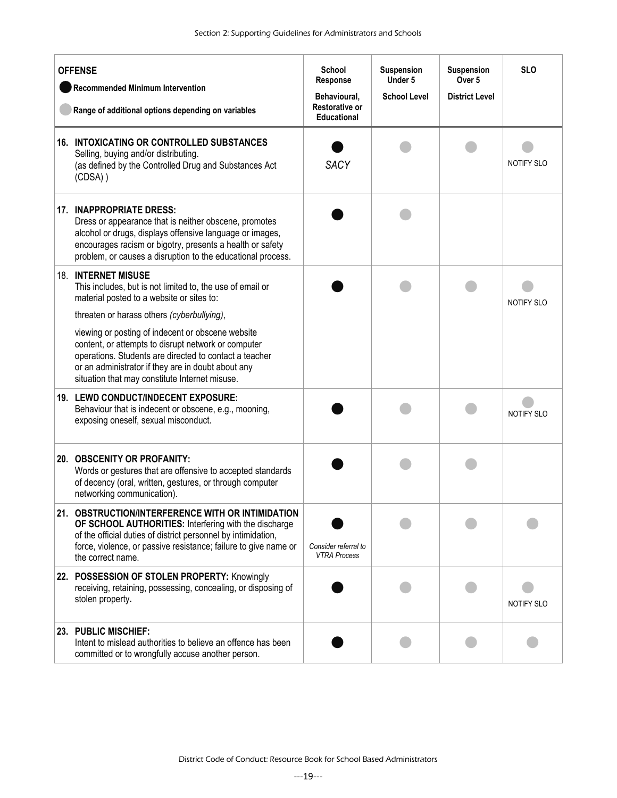| <b>OFFENSE</b><br><b>Recommended Minimum Intervention</b><br>Range of additional options depending on variables |                                                                                                                                                                                                                                                                            | <b>School</b><br>Response<br>Behavioural,<br><b>Restorative or</b><br><b>Educational</b> | Suspension<br>Under 5<br><b>School Level</b> | Suspension<br>Over 5<br><b>District Level</b> | <b>SLO</b> |
|-----------------------------------------------------------------------------------------------------------------|----------------------------------------------------------------------------------------------------------------------------------------------------------------------------------------------------------------------------------------------------------------------------|------------------------------------------------------------------------------------------|----------------------------------------------|-----------------------------------------------|------------|
|                                                                                                                 | 16. INTOXICATING OR CONTROLLED SUBSTANCES<br>Selling, buying and/or distributing.<br>(as defined by the Controlled Drug and Substances Act<br>(CDSA))                                                                                                                      | <b>SACY</b>                                                                              |                                              |                                               | NOTIFY SLO |
|                                                                                                                 | 17. INAPPROPRIATE DRESS:<br>Dress or appearance that is neither obscene, promotes<br>alcohol or drugs, displays offensive language or images,<br>encourages racism or bigotry, presents a health or safety<br>problem, or causes a disruption to the educational process.  |                                                                                          |                                              |                                               |            |
|                                                                                                                 | <b>18. INTERNET MISUSE</b><br>This includes, but is not limited to, the use of email or<br>material posted to a website or sites to:<br>threaten or harass others (cyberbullying),                                                                                         |                                                                                          |                                              |                                               | NOTIFY SLO |
|                                                                                                                 | viewing or posting of indecent or obscene website<br>content, or attempts to disrupt network or computer<br>operations. Students are directed to contact a teacher<br>or an administrator if they are in doubt about any<br>situation that may constitute Internet misuse. |                                                                                          |                                              |                                               |            |
|                                                                                                                 | 19. LEWD CONDUCT/INDECENT EXPOSURE:<br>Behaviour that is indecent or obscene, e.g., mooning,<br>exposing oneself, sexual misconduct.                                                                                                                                       |                                                                                          |                                              |                                               | NOTIFY SLO |
|                                                                                                                 | 20. OBSCENITY OR PROFANITY:<br>Words or gestures that are offensive to accepted standards<br>of decency (oral, written, gestures, or through computer<br>networking communication).                                                                                        |                                                                                          |                                              |                                               |            |
|                                                                                                                 | 21. OBSTRUCTION/INTERFERENCE WITH OR INTIMIDATION<br>OF SCHOOL AUTHORITIES: Interfering with the discharge<br>of the official duties of district personnel by intimidation,<br>force, violence, or passive resistance; failure to give name or<br>the correct name.        | Consider referral to<br><b>VTRA Process</b>                                              |                                              |                                               |            |
|                                                                                                                 | 22. POSSESSION OF STOLEN PROPERTY: Knowingly<br>receiving, retaining, possessing, concealing, or disposing of<br>stolen property.                                                                                                                                          |                                                                                          |                                              |                                               | NOTIFY SLO |
|                                                                                                                 | 23. PUBLIC MISCHIEF:<br>Intent to mislead authorities to believe an offence has been<br>committed or to wrongfully accuse another person.                                                                                                                                  |                                                                                          |                                              |                                               |            |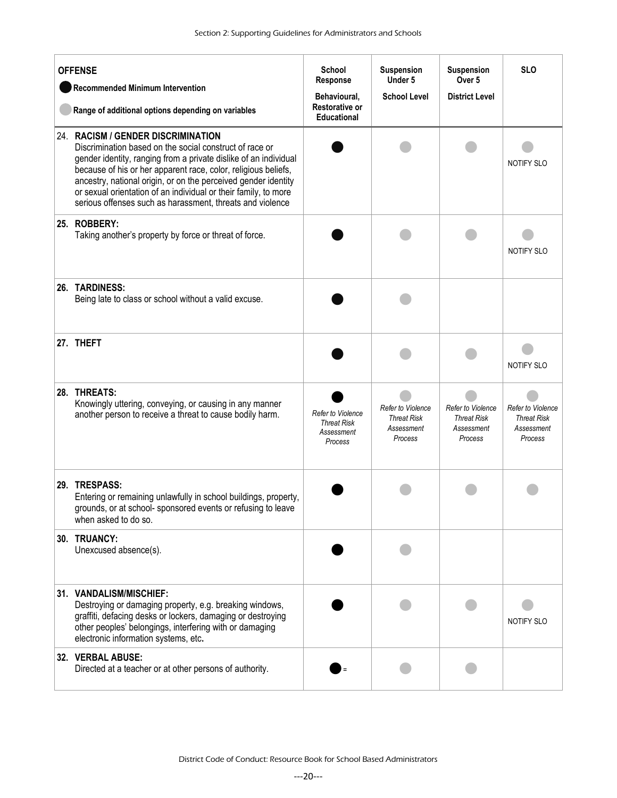| <b>OFFENSE</b><br><b>Recommended Minimum Intervention</b><br>Range of additional options depending on variables |                                                                                                                                                                                                                                                                                                                                                                                                                                       | School<br>Response<br>Behavioural,<br><b>Restorative or</b><br><b>Educational</b> | <b>Suspension</b><br>Under 5<br><b>School Level</b>              | <b>Suspension</b><br>Over 5<br><b>District Level</b>             | <b>SLO</b>                                                       |
|-----------------------------------------------------------------------------------------------------------------|---------------------------------------------------------------------------------------------------------------------------------------------------------------------------------------------------------------------------------------------------------------------------------------------------------------------------------------------------------------------------------------------------------------------------------------|-----------------------------------------------------------------------------------|------------------------------------------------------------------|------------------------------------------------------------------|------------------------------------------------------------------|
|                                                                                                                 | 24. RACISM / GENDER DISCRIMINATION<br>Discrimination based on the social construct of race or<br>gender identity, ranging from a private dislike of an individual<br>because of his or her apparent race, color, religious beliefs,<br>ancestry, national origin, or on the perceived gender identity<br>or sexual orientation of an individual or their family, to more<br>serious offenses such as harassment, threats and violence |                                                                                   |                                                                  |                                                                  | <b>NOTIFY SLO</b>                                                |
|                                                                                                                 | 25. ROBBERY:<br>Taking another's property by force or threat of force.                                                                                                                                                                                                                                                                                                                                                                |                                                                                   |                                                                  |                                                                  | NOTIFY SLO                                                       |
|                                                                                                                 | 26. TARDINESS:<br>Being late to class or school without a valid excuse.                                                                                                                                                                                                                                                                                                                                                               |                                                                                   |                                                                  |                                                                  |                                                                  |
|                                                                                                                 | 27. THEFT                                                                                                                                                                                                                                                                                                                                                                                                                             |                                                                                   |                                                                  |                                                                  | <b>NOTIFY SLO</b>                                                |
|                                                                                                                 | 28. THREATS:<br>Knowingly uttering, conveying, or causing in any manner<br>another person to receive a threat to cause bodily harm.                                                                                                                                                                                                                                                                                                   | <b>Refer to Violence</b><br><b>Threat Risk</b><br>Assessment<br>Process           | Refer to Violence<br><b>Threat Risk</b><br>Assessment<br>Process | Refer to Violence<br><b>Threat Risk</b><br>Assessment<br>Process | Refer to Violence<br><b>Threat Risk</b><br>Assessment<br>Process |
|                                                                                                                 | 29. TRESPASS:<br>Entering or remaining unlawfully in school buildings, property,<br>grounds, or at school- sponsored events or refusing to leave<br>when asked to do so.                                                                                                                                                                                                                                                              |                                                                                   |                                                                  |                                                                  |                                                                  |
|                                                                                                                 | 30. TRUANCY:<br>Unexcused absence(s).                                                                                                                                                                                                                                                                                                                                                                                                 |                                                                                   |                                                                  |                                                                  |                                                                  |
|                                                                                                                 | 31. VANDALISM/MISCHIEF:<br>Destroying or damaging property, e.g. breaking windows,<br>graffiti, defacing desks or lockers, damaging or destroying<br>other peoples' belongings, interfering with or damaging<br>electronic information systems, etc.                                                                                                                                                                                  |                                                                                   |                                                                  |                                                                  | NOTIFY SLO                                                       |
|                                                                                                                 | 32. VERBAL ABUSE:<br>Directed at a teacher or at other persons of authority.                                                                                                                                                                                                                                                                                                                                                          |                                                                                   |                                                                  |                                                                  |                                                                  |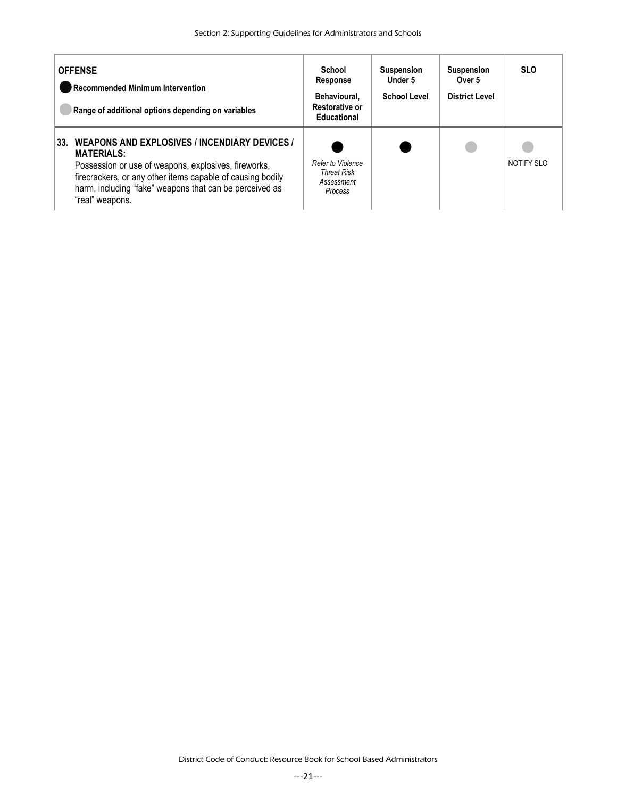| <b>OFFENSE</b><br>Recommended Minimum Intervention<br>Range of additional options depending on variables                                                                                                                                                                      | School<br><b>Response</b><br>Behavioural.<br><b>Restorative or</b><br><b>Educational</b> | <b>Suspension</b><br>Under 5<br><b>School Level</b> | <b>Suspension</b><br>Over <sub>5</sub><br><b>District Level</b> | <b>SLO</b> |
|-------------------------------------------------------------------------------------------------------------------------------------------------------------------------------------------------------------------------------------------------------------------------------|------------------------------------------------------------------------------------------|-----------------------------------------------------|-----------------------------------------------------------------|------------|
| WEAPONS AND EXPLOSIVES / INCENDIARY DEVICES /<br>33.<br><b>MATERIALS:</b><br>Possession or use of weapons, explosives, fireworks,<br>firecrackers, or any other items capable of causing bodily<br>harm, including "fake" weapons that can be perceived as<br>"real" weapons. | Refer to Violence<br><b>Threat Risk</b><br>Assessment<br><b>Process</b>                  |                                                     |                                                                 | NOTIFY SLO |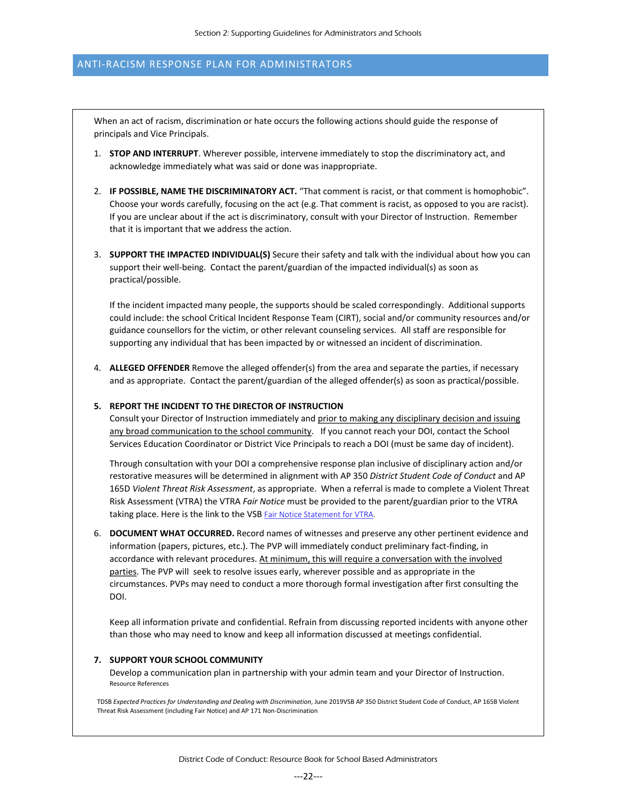## ANTI-RACISM RESPONSE PLAN FOR ADMINISTRATORS

When an act of racism, discrimination or hate occurs the following actions should guide the response of principals and Vice Principals.

- 1. **STOP AND INTERRUPT**. Wherever possible, intervene immediately to stop the discriminatory act, and acknowledge immediately what was said or done was inappropriate.
- 2. **IF POSSIBLE, NAME THE DISCRIMINATORY ACT.** "That comment is racist, or that comment is homophobic". Choose your words carefully, focusing on the act (e.g. That comment is racist, as opposed to you are racist). If you are unclear about if the act is discriminatory, consult with your Director of Instruction. Remember that it is important that we address the action.
- 3. **SUPPORT THE IMPACTED INDIVIDUAL(S)** Secure their safety and talk with the individual about how you can support their well-being. Contact the parent/guardian of the impacted individual(s) as soon as practical/possible.

If the incident impacted many people, the supports should be scaled correspondingly. Additional supports could include: the school Critical Incident Response Team (CIRT), social and/or community resources and/or guidance counsellors for the victim, or other relevant counseling services. All staff are responsible for supporting any individual that has been impacted by or witnessed an incident of discrimination.

4. **ALLEGED OFFENDER** Remove the alleged offender(s) from the area and separate the parties, if necessary and as appropriate. Contact the parent/guardian of the alleged offender(s) as soon as practical/possible.

#### **5. REPORT THE INCIDENT TO THE DIRECTOR OF INSTRUCTION**

Consult your Director of Instruction immediately and prior to making any disciplinary decision and issuing any broad communication to the school community. If you cannot reach your DOI, contact the School Services Education Coordinator or District Vice Principals to reach a DOI (must be same day of incident).

Through consultation with your DOI a comprehensive response plan inclusive of disciplinary action and/or restorative measures will be determined in alignment with AP 350 *District Student Code of Conduct* and AP 165D *Violent Threat Risk Assessment*, as appropriate. When a referral is made to complete a Violent Threat Risk Assessment (VTRA) the VTRA *Fair Notice* must be provided to the parent/guardian prior to the VTRA taking place. Here is the link to the VSB Fair Notice Statement for VTRA.

6. **DOCUMENT WHAT OCCURRED.** Record names of witnesses and preserve any other pertinent evidence and information (papers, pictures, etc.). The PVP will immediately conduct preliminary fact-finding, in accordance with relevant procedures. At minimum, this will require a conversation with the involved parties. The PVP will seek to resolve issues early, wherever possible and as appropriate in the circumstances. PVPs may need to conduct a more thorough formal investigation after first consulting the DOI.

Keep all information private and confidential. Refrain from discussing reported incidents with anyone other than those who may need to know and keep all information discussed at meetings confidential.

#### **7. SUPPORT YOUR SCHOOL COMMUNITY**

Develop a communication plan in partnership with your admin team and your Director of Instruction. Resource References

TDSB *Expected Practices for Understanding and Dealing with Discrimination*, June 2019VSB AP 350 District Student Code of Conduct, AP 165B Violent Threat Risk Assessment (including Fair Notice) and AP 171 Non-Discrimination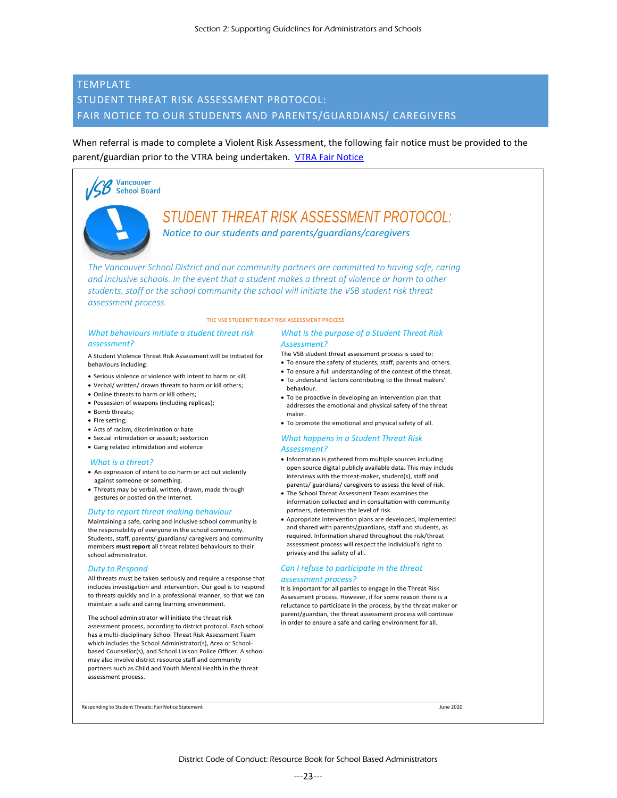# <span id="page-22-0"></span>TEMPLATE STUDENT THREAT RISK ASSESSMENT PROTOCOL: FAIR NOTICE TO OUR STUDENTS AND PARENTS/GUARDIANS/ CAREGIVERS

When referral is made to complete a Violent Risk Assessment, the following fair notice must be provided to the parent/guardian prior to the VTRA being undertaken. [VTRA Fair Notice](https://www.vsb.bc.ca/Student_Support/Safe_Caring/Student_Threat_Risk_Assessment/Documents/VSB%20%E2%80%93%20Student%20Threat%20Risk%20Assessment%20Protocol-Fair%20Notice.pdf)



*Notice to our students and parents/guardians/caregivers*

*The Vancouver School District and our community partners are committed to having safe, caring and inclusive schools. In the event that a student makes a threat of violence or harm to other students, staff or the school community the school will initiate the VSB student risk threat assessment process.*

#### THE VSB STUDENT THREAT RISK ASSESSMENT PROCESS

#### *What behaviours initiate a student threat risk assessment?*

A Student Violence Threat Risk Assessment will be initiated for behaviours including:

- Serious violence or violence with intent to harm or kill;
- Verbal/ written/ drawn threats to harm or kill others;
- Online threats to harm or kill others;

**Vancouver School Board** 

- Possession of weapons (including replicas);
- Bomb threats;
- Fire setting;
- Acts of racism, discrimination or hate
- Sexual intimidation or assault; sextortion
- Gang related intimidation and violence

#### *What is a threat?*

- An expression of intent to do harm or act out violently against someone or something.
- Threats may be verbal, written, drawn, made through gestures or posted on the Internet.

#### *Duty to report threat making behaviour*

Maintaining a safe, caring and inclusive school community is the responsibility of everyone in the school community. Students, staff, parents/ guardians/ caregivers and community members **must report** all threat related behaviours to their school administrator.

#### *Duty to Respond*

All threats must be taken seriously and require a response that includes investigation and intervention. Our goal is to respond to threats quickly and in a professional manner, so that we can maintain a safe and caring learning environment.

The school administrator will initiate the threat risk assessment process, according to district protocol. Each school has a multi-disciplinary School Threat Risk Assessment Team which includes the School Administrator(s), Area or School based Counsellor(s), and School Liaison Police Officer. A school may also involve district resource staff and community partners such as Child and Youth Mental Health in the threat assessment process.

#### *What is the purpose of a Student Threat Risk Assessment?*

The VSB student threat assessment process is used to:

- To ensure the safety of students, staff, parents and others.
- To ensure a full understanding of the context of the threat.
- To understand factors contributing to the threat makers' behaviour.
- To be proactive in developing an intervention plan that addresses the emotional and physical safety of the threat maker.
- To promote the emotional and physical safety of all.

#### *What happens in a Student Threat Risk Assessment?*

- Information is gathered from multiple sources including open source digital publicly available data. This may include interviews with the threat-maker, student(s), staff and parents/ guardians/ caregivers to assess the level of risk.
- The School Threat Assessment Team examines the information collected and in consultation with community partners, determines the level of risk.
- Appropriate intervention plans are developed, implemented and shared with parents/guardians, staff and students, as required. Information shared throughout the risk/threat assessment process will respect the individual's right to privacy and the safety of all.

#### *Can I refuse to participate in the threat assessment process?*

It is important for all parties to engage in the Threat Risk Assessment process. However, if for some reason there is a reluctance to participate in the process, by the threat maker or parent/guardian, the threat assessment process will continue in order to ensure a safe and caring environment for all.

Responding to Student Threats: Fair Notice Statement June 2020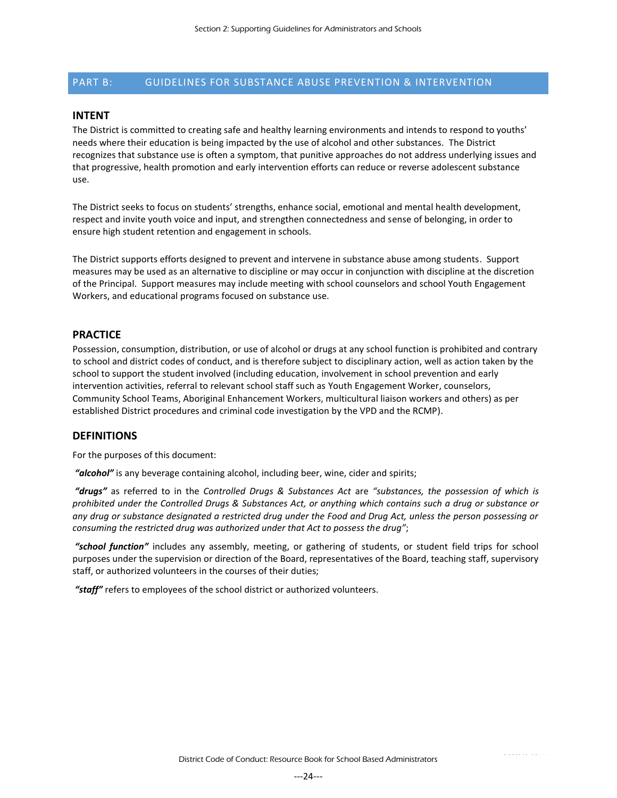# <span id="page-23-0"></span>PART B: GUIDELINES FOR SUBSTANCE ABUSE PREVENTION & INTERVENTION

#### **INTENT**

The District is committed to creating safe and healthy learning environments and intends to respond to youths' needs where their education is being impacted by the use of alcohol and other substances. The District recognizes that substance use is often a symptom, that punitive approaches do not address underlying issues and that progressive, health promotion and early intervention efforts can reduce or reverse adolescent substance use.

The District seeks to focus on students' strengths, enhance social, emotional and mental health development, respect and invite youth voice and input, and strengthen connectedness and sense of belonging, in order to ensure high student retention and engagement in schools.

The District supports efforts designed to prevent and intervene in substance abuse among students. Support measures may be used as an alternative to discipline or may occur in conjunction with discipline at the discretion of the Principal. Support measures may include meeting with school counselors and school Youth Engagement Workers, and educational programs focused on substance use.

#### **PRACTICE**

Possession, consumption, distribution, or use of alcohol or drugs at any school function is prohibited and contrary to school and district codes of conduct, and is therefore subject to disciplinary action, well as action taken by the school to support the student involved (including education, involvement in school prevention and early intervention activities, referral to relevant school staff such as Youth Engagement Worker, counselors, Community School Teams, Aboriginal Enhancement Workers, multicultural liaison workers and others) as per established District procedures and criminal code investigation by the VPD and the RCMP).

#### **DEFINITIONS**

For the purposes of this document:

*"alcohol"* is any beverage containing alcohol, including beer, wine, cider and spirits;

*"drugs"* as referred to in the *Controlled Drugs & Substances Act* are *"substances, the possession of which is prohibited under the Controlled Drugs & Substances Act, or anything which contains such a drug or substance or any drug or substance designated a restricted drug under the Food and Drug Act, unless the person possessing or consuming the restricted drug was authorized under that Act to possess the drug"*;

*"school function"* includes any assembly, meeting, or gathering of students, or student field trips for school purposes under the supervision or direction of the Board, representatives of the Board, teaching staff, supervisory staff, or authorized volunteers in the courses of their duties;

*"staff"* refers to employees of the school district or authorized volunteers.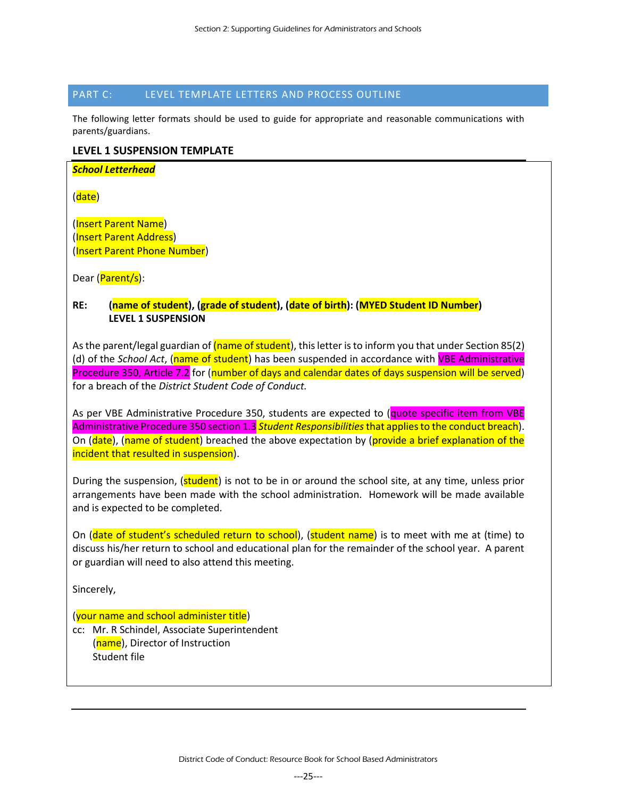# <span id="page-24-0"></span>PART C: LEVEL TEMPLATE LETTERS AND PROCESS OUTLINE

The following letter formats should be used to guide for appropriate and reasonable communications with parents/guardians.

# **LEVEL 1 SUSPENSION TEMPLATE**

| <b>School Letterhead</b> |  |
|--------------------------|--|
|--------------------------|--|

(date)

(Insert Parent Name) (Insert Parent Address) (Insert Parent Phone Number)

Dear (Parent/s):

# **RE: (name of student), (grade of student), (date of birth): (MYED Student ID Number) LEVEL 1 SUSPENSION**

As the parent/legal guardian of (name of student), this letter is to inform you that under Section 85(2) (d) of the *School Act*, (name of student) has been suspended in accordance with VBE Administrative Procedure 350, Article 7.2 for (number of days and calendar dates of days suspension will be served) for a breach of the *District Student Code of Conduct.*

As per VBE Administrative Procedure 350, students are expected to (quote specific item from VBE Administrative Procedure 350 section 1.3 *Student Responsibilities*that applies to the conduct breach). On (date), (name of student) breached the above expectation by (provide a brief explanation of the incident that resulted in suspension).

During the suspension, (student) is not to be in or around the school site, at any time, unless prior arrangements have been made with the school administration. Homework will be made available and is expected to be completed.

On (date of student's scheduled return to school), (student name) is to meet with me at (time) to discuss his/her return to school and educational plan for the remainder of the school year. A parent or guardian will need to also attend this meeting.

Sincerely,

# (your name and school administer title)

cc: Mr. R Schindel, Associate Superintendent (name), Director of Instruction Student file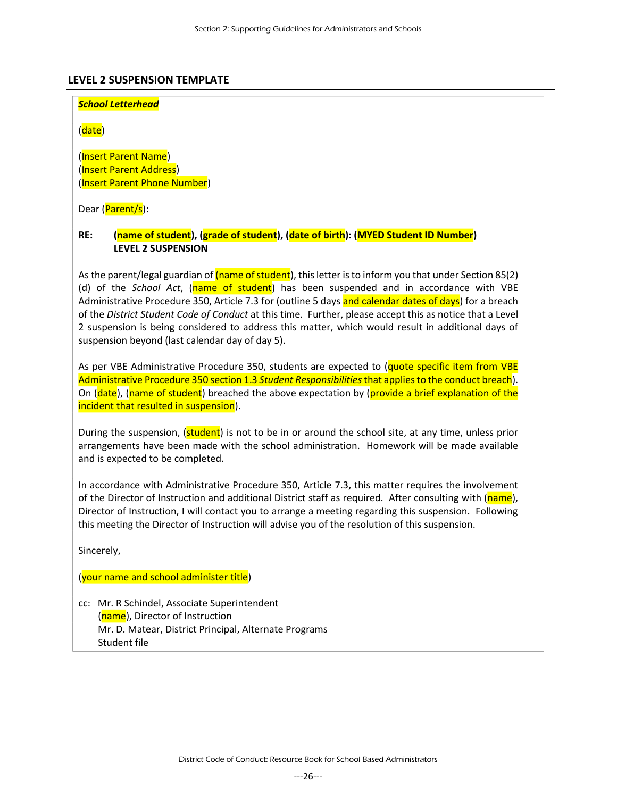# **LEVEL 2 SUSPENSION TEMPLATE**

#### *School Letterhead*

(date)

(Insert Parent Name) (Insert Parent Address) (Insert Parent Phone Number)

Dear (Parent/s):

# **RE: (name of student), (grade of student), (date of birth): (MYED Student ID Number) LEVEL 2 SUSPENSION**

As the parent/legal guardian of (name of student), this letter is to inform you that under Section 85(2) (d) of the *School Act*, (name of student) has been suspended and in accordance with VBE Administrative Procedure 350, Article 7.3 for (outline 5 days and calendar dates of days) for a breach of the *District Student Code of Conduct* at this time*.* Further, please accept this as notice that a Level 2 suspension is being considered to address this matter, which would result in additional days of suspension beyond (last calendar day of day 5).

As per VBE Administrative Procedure 350, students are expected to (quote specific item from VBE Administrative Procedure 350 section 1.3 *Student Responsibilities*that applies to the conduct breach). On (date), (name of student) breached the above expectation by (provide a brief explanation of the incident that resulted in suspension).

During the suspension, (student) is not to be in or around the school site, at any time, unless prior arrangements have been made with the school administration. Homework will be made available and is expected to be completed.

In accordance with Administrative Procedure 350, Article 7.3, this matter requires the involvement of the Director of Instruction and additional District staff as required. After consulting with (name), Director of Instruction, I will contact you to arrange a meeting regarding this suspension. Following this meeting the Director of Instruction will advise you of the resolution of this suspension.

Sincerely,

(your name and school administer title)

cc: Mr. R Schindel, Associate Superintendent (name), Director of Instruction Mr. D. Matear, District Principal, Alternate Programs Student file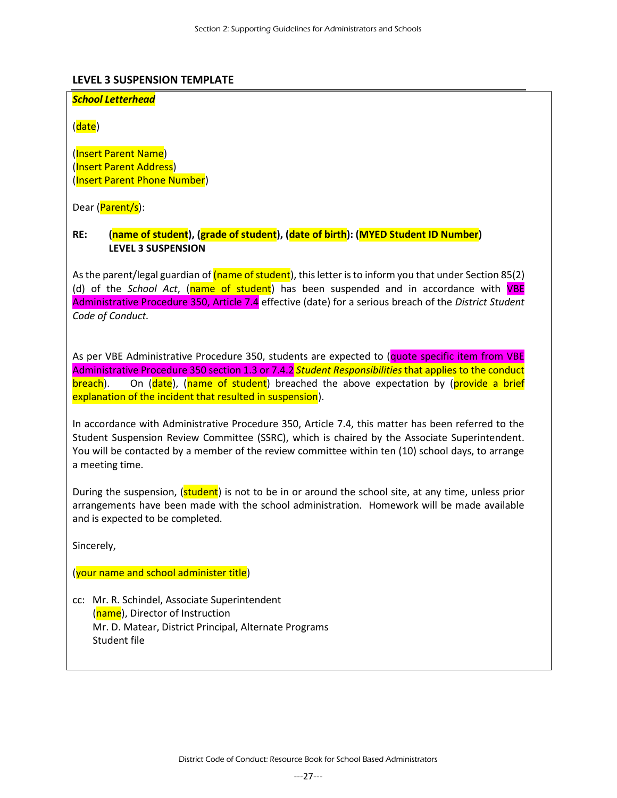# **LEVEL 3 SUSPENSION TEMPLATE**

# *School Letterhead*

(date)

(Insert Parent Name) (Insert Parent Address) (Insert Parent Phone Number)

Dear (Parent/s):

# **RE: (name of student), (grade of student), (date of birth): (MYED Student ID Number) LEVEL 3 SUSPENSION**

As the parent/legal guardian of (name of student), this letter is to inform you that under Section 85(2) (d) of the *School Act*, (name of student) has been suspended and in accordance with VBE Administrative Procedure 350, Article 7.4 effective (date) for a serious breach of the *District Student Code of Conduct.* 

As per VBE Administrative Procedure 350, students are expected to (quote specific item from VBE Administrative Procedure 350 section 1.3 or 7.4.2 *Student Responsibilities* that applies to the conduct breach). On (date), (name of student) breached the above expectation by (provide a brief explanation of the incident that resulted in suspension).

In accordance with Administrative Procedure 350, Article 7.4, this matter has been referred to the Student Suspension Review Committee (SSRC), which is chaired by the Associate Superintendent. You will be contacted by a member of the review committee within ten (10) school days, to arrange a meeting time.

During the suspension, (student) is not to be in or around the school site, at any time, unless prior arrangements have been made with the school administration. Homework will be made available and is expected to be completed.

Sincerely,

(your name and school administer title)

cc: Mr. R. Schindel, Associate Superintendent (name), Director of Instruction Mr. D. Matear, District Principal, Alternate Programs Student file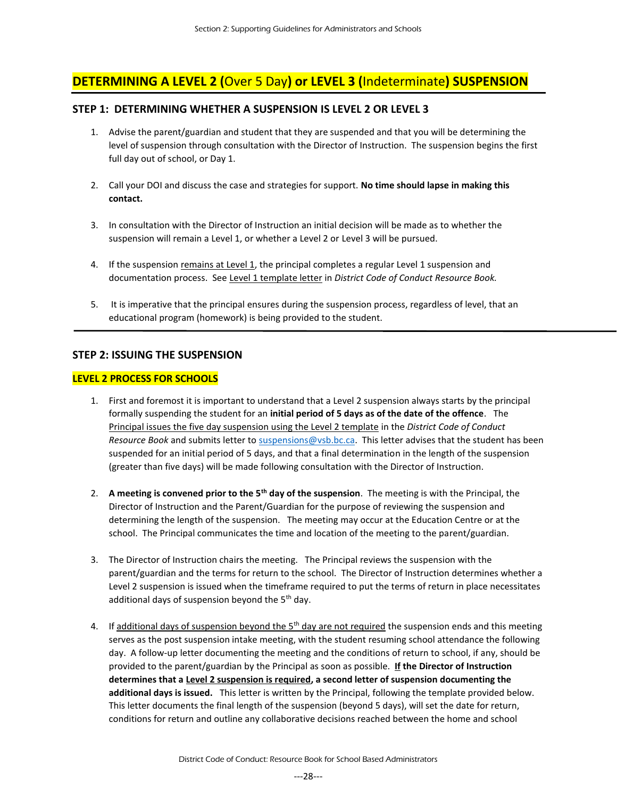# **DETERMINING A LEVEL 2 (**Over 5 Day**) or LEVEL 3 (**Indeterminate**) SUSPENSION**

# **STEP 1: DETERMINING WHETHER A SUSPENSION IS LEVEL 2 OR LEVEL 3**

- 1. Advise the parent/guardian and student that they are suspended and that you will be determining the level of suspension through consultation with the Director of Instruction. The suspension begins the first full day out of school, or Day 1.
- 2. Call your DOI and discuss the case and strategies for support. **No time should lapse in making this contact.**
- 3. In consultation with the Director of Instruction an initial decision will be made as to whether the suspension will remain a Level 1, or whether a Level 2 or Level 3 will be pursued.
- 4. If the suspension remains at Level 1, the principal completes a regular Level 1 suspension and documentation process. See Level 1 template letter in *District Code of Conduct Resource Book.*
- 5. It is imperative that the principal ensures during the suspension process, regardless of level, that an educational program (homework) is being provided to the student.

# **STEP 2: ISSUING THE SUSPENSION**

# **LEVEL 2 PROCESS FOR SCHOOLS**

- 1. First and foremost it is important to understand that a Level 2 suspension always starts by the principal formally suspending the student for an **initial period of 5 days as of the date of the offence**. The Principal issues the five day suspension using the Level 2 template in the *District Code of Conduct Resource Book* and submits letter to [suspensions@vsb.bc.ca.](mailto:suspensions@vsb.bc.ca) This letter advises that the student has been suspended for an initial period of 5 days, and that a final determination in the length of the suspension (greater than five days) will be made following consultation with the Director of Instruction.
- 2. **A meeting is convened prior to the 5th day of the suspension**. The meeting is with the Principal, the Director of Instruction and the Parent/Guardian for the purpose of reviewing the suspension and determining the length of the suspension. The meeting may occur at the Education Centre or at the school. The Principal communicates the time and location of the meeting to the parent/guardian.
- 3. The Director of Instruction chairs the meeting. The Principal reviews the suspension with the parent/guardian and the terms for return to the school. The Director of Instruction determines whether a Level 2 suspension is issued when the timeframe required to put the terms of return in place necessitates additional days of suspension beyond the  $5<sup>th</sup>$  day.
- 4. If additional days of suspension beyond the 5<sup>th</sup> day are not required the suspension ends and this meeting serves as the post suspension intake meeting, with the student resuming school attendance the following day. A follow-up letter documenting the meeting and the conditions of return to school, if any, should be provided to the parent/guardian by the Principal as soon as possible. **If the Director of Instruction determines that a Level 2 suspension is required, a second letter of suspension documenting the additional days is issued.** This letter is written by the Principal, following the template provided below. This letter documents the final length of the suspension (beyond 5 days), will set the date for return, conditions for return and outline any collaborative decisions reached between the home and school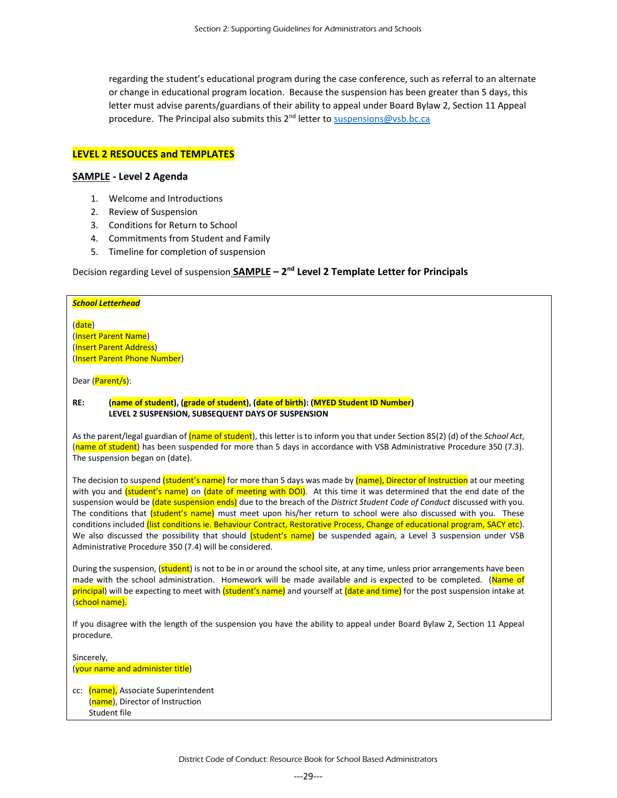regarding the student's educational program during the case conference, such as referral to an alternate or change in educational program location. Because the suspension has been greater than 5 days, this letter must advise parents/guardians of their ability to appeal under Board Bylaw 2, Section 11 Appeal procedure. The Principal also submits this 2<sup>nd</sup> letter t[o suspensions@vsb.bc.ca](mailto:suspensions@vsb.bc.ca)

#### **LEVEL 2 RESOUCES and TEMPLATES**

#### **SAMPLE - Level 2 Agenda**

- 1. Welcome and Introductions
- 2. Review of Suspension
- 3. Conditions for Return to School
- 4. Commitments from Student and Family
- 5. Timeline for completion of suspension

# Decision regarding Level of suspension **SAMPLE – 2 nd Level 2 Template Letter for Principals**

| <b>School Letterhead</b>                                                                                                                                                                                                                                                                   |
|--------------------------------------------------------------------------------------------------------------------------------------------------------------------------------------------------------------------------------------------------------------------------------------------|
| (date)<br>(Insert Parent Name)<br>(Insert Parent Address)<br>(Insert Parent Phone Number)<br>Dear (Parent/s):                                                                                                                                                                              |
|                                                                                                                                                                                                                                                                                            |
| (name of student), (grade of student), (date of birth): (MYED Student ID Number)<br>RE:<br>LEVEL 2 SUSPENSION, SUBSEQUENT DAYS OF SUSPENSION                                                                                                                                               |
| As the parent/legal guardian of (name of student), this letter is to inform you that under Section 85(2) (d) of the School Act,<br>(name of student) has been suspended for more than 5 days in accordance with VSB Administrative Procedure 350 (7.3).<br>The suspension began on (date). |

The decision to suspend (student's name) for more than 5 days was made by (name), Director of Instruction at our meeting with you and *(student's name)* on *(date of meeting with DOI)*. At this time it was determined that the end date of the suspension would be (date suspension ends) due to the breach of the *District Student Code of Conduct* discussed with you. The conditions that *(student's name)* must meet upon his/her return to school were also discussed with you. These conditions included (list conditions ie. Behaviour Contract, Restorative Process, Change of educational program, SACY etc). We also discussed the possibility that should (student's name) be suspended again, a Level 3 suspension under VSB Administrative Procedure 350 (7.4) will be considered.

During the suspension, (**student**) is not to be in or around the school site, at any time, unless prior arrangements have been made with the school administration. Homework will be made available and is expected to be completed. (Name of principal) will be expecting to meet with (student's name) and yourself at (date and time) for the post suspension intake at (school name).

If you disagree with the length of the suspension you have the ability to appeal under Board Bylaw 2, Section 11 Appeal procedure.

Sincerely, (your name and administer title)

cc: (name), Associate Superintendent (name), Director of Instruction Student file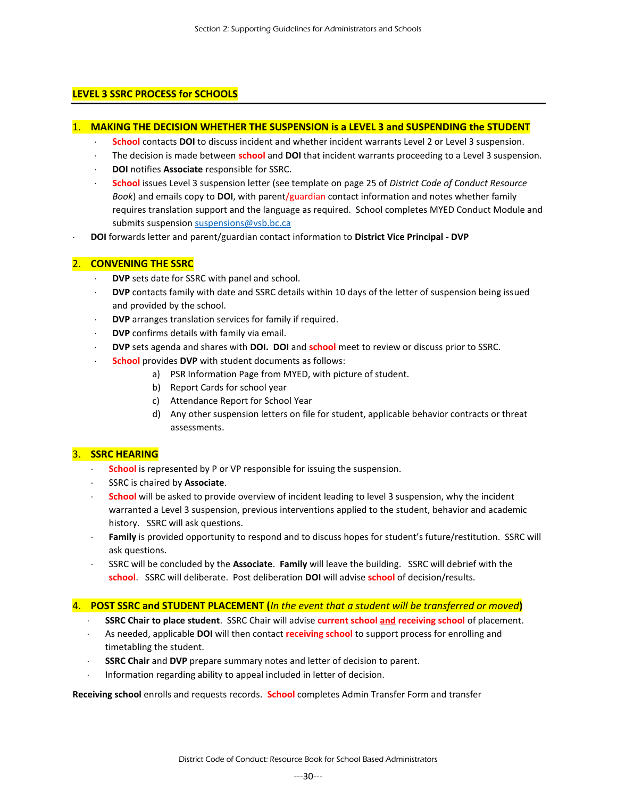# **LEVEL 3 SSRC PROCESS for SCHOOLS**

#### 1. **MAKING THE DECISION WHETHER THE SUSPENSION is a LEVEL 3 and SUSPENDING the STUDENT**

- **School** contacts **DOI** to discuss incident and whether incident warrants Level 2 or Level 3 suspension.
- The decision is made between **school** and **DOI** that incident warrants proceeding to a Level 3 suspension.
- **DOI** notifies **Associate** responsible for SSRC.
- **School** issues Level 3 suspension letter (see template on page 25 of *District Code of Conduct Resource Book*) and emails copy to **DOI**, with parent/guardian contact information and notes whether family requires translation support and the language as required. School completes MYED Conduct Module and submits suspensio[n suspensions@vsb.bc.ca](mailto:suspensions@vsb.bc.ca)
- **DOI** forwards letter and parent/guardian contact information to **District Vice Principal - DVP**

#### 2. **CONVENING THE SSRC**

- **DVP** sets date for SSRC with panel and school.
- **DVP** contacts family with date and SSRC details within 10 days of the letter of suspension being issued and provided by the school.
- **DVP** arranges translation services for family if required.
- **DVP** confirms details with family via email.
- **DVP** sets agenda and shares with **DOI. DOI** and **school** meet to review or discuss prior to SSRC.
- **School** provides **DVP** with student documents as follows:
	- a) PSR Information Page from MYED, with picture of student.
	- b) Report Cards for school year
	- c) Attendance Report for School Year
	- d) Any other suspension letters on file for student, applicable behavior contracts or threat assessments.

# 3. **SSRC HEARING**

- **School** is represented by P or VP responsible for issuing the suspension.
- SSRC is chaired by **Associate**.
- **School** will be asked to provide overview of incident leading to level 3 suspension, why the incident warranted a Level 3 suspension, previous interventions applied to the student, behavior and academic history. SSRC will ask questions.
- **Family** is provided opportunity to respond and to discuss hopes for student's future/restitution. SSRC will ask questions.
- SSRC will be concluded by the **Associate**. **Family** will leave the building. SSRC will debrief with the **school**. SSRC will deliberate. Post deliberation **DOI** will advise **school** of decision/results.

# 4. **POST SSRC and STUDENT PLACEMENT (***In the event that a student will be transferred or moved***)**

- **SSRC Chair to place student**. SSRC Chair will advise **current school and receiving school** of placement.
- As needed, applicable **DOI** will then contact **receiving school** to support process for enrolling and timetabling the student.
- **SSRC Chair** and **DVP** prepare summary notes and letter of decision to parent.
- Information regarding ability to appeal included in letter of decision.

**Receiving school** enrolls and requests records. **School** completes Admin Transfer Form and transfer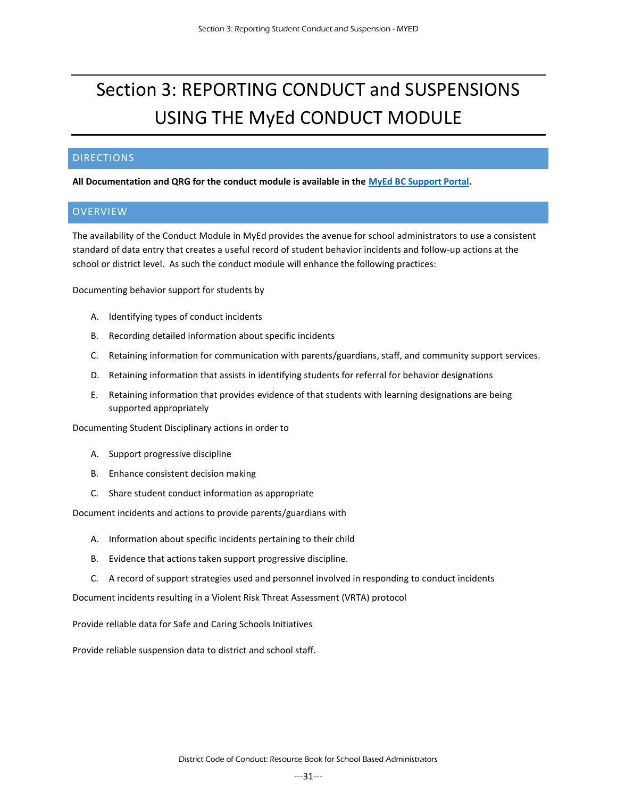# <span id="page-30-0"></span>Section 3: REPORTING CONDUCT and SUSPENSIONS USING THE MyEd CONDUCT MODULE

# <span id="page-30-1"></span>DIRECTIONS

<span id="page-30-2"></span>**All Documentation and QRG for the conduct module is available in the [MyEd BC Support Portal.](https://myvsb.vsb.bc.ca/Collaboration/Projects/MyEdBC/default.aspx)**

# OVERVIEW

The availability of the Conduct Module in MyEd provides the avenue for school administrators to use a consistent standard of data entry that creates a useful record of student behavior incidents and follow-up actions at the school or district level. As such the conduct module will enhance the following practices:

Documenting behavior support for students by

- A. Identifying types of conduct incidents
- B. Recording detailed information about specific incidents
- C. Retaining information for communication with parents/guardians, staff, and community support services.
- D. Retaining information that assists in identifying students for referral for behavior designations
- E. Retaining information that provides evidence of that students with learning designations are being supported appropriately

Documenting Student Disciplinary actions in order to

- A. Support progressive discipline
- B. Enhance consistent decision making
- C. Share student conduct information as appropriate

Document incidents and actions to provide parents/guardians with

- A. Information about specific incidents pertaining to their child
- B. Evidence that actions taken support progressive discipline.
- C. A record of support strategies used and personnel involved in responding to conduct incidents

Document incidents resulting in a Violent Risk Threat Assessment (VRTA) protocol

Provide reliable data for Safe and Caring Schools Initiatives

Provide reliable suspension data to district and school staff.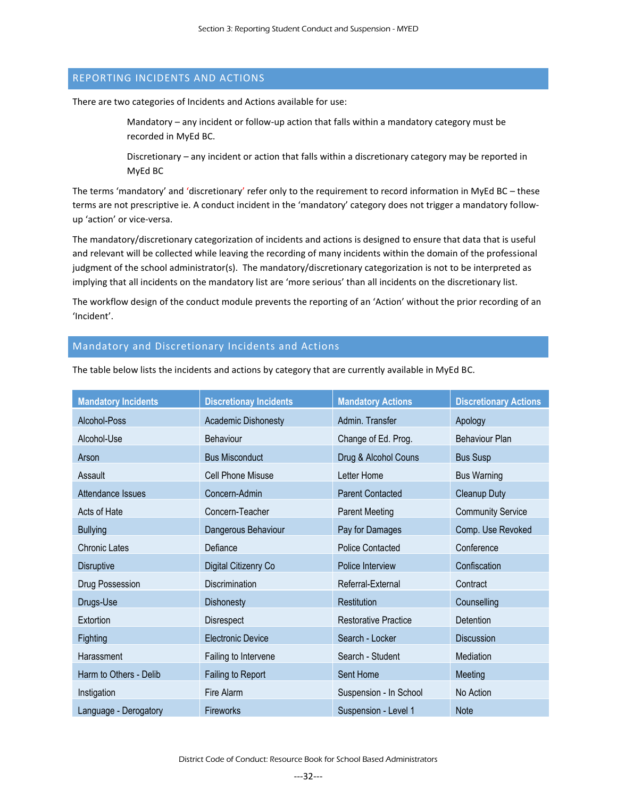# <span id="page-31-0"></span>REPORTING INCIDENTS AND ACTIONS

There are two categories of Incidents and Actions available for use:

Mandatory – any incident or follow-up action that falls within a mandatory category must be recorded in MyEd BC.

Discretionary – any incident or action that falls within a discretionary category may be reported in MyEd BC

The terms 'mandatory' and 'discretionary' refer only to the requirement to record information in MyEd BC – these terms are not prescriptive ie. A conduct incident in the 'mandatory' category does not trigger a mandatory followup 'action' or vice-versa.

The mandatory/discretionary categorization of incidents and actions is designed to ensure that data that is useful and relevant will be collected while leaving the recording of many incidents within the domain of the professional judgment of the school administrator(s). The mandatory/discretionary categorization is not to be interpreted as implying that all incidents on the mandatory list are 'more serious' than all incidents on the discretionary list.

The workflow design of the conduct module prevents the reporting of an 'Action' without the prior recording of an 'Incident'.

# <span id="page-31-1"></span>Mandatory and Discretionary Incidents and Actions

The table below lists the incidents and actions by category that are currently available in MyEd BC.

| <b>Mandatory Incidents</b> | <b>Discretionay Incidents</b> | <b>Mandatory Actions</b>    | <b>Discretionary Actions</b> |
|----------------------------|-------------------------------|-----------------------------|------------------------------|
| Alcohol-Poss               | <b>Academic Dishonesty</b>    | Admin. Transfer             | Apology                      |
| Alcohol-Use                | <b>Behaviour</b>              | Change of Ed. Prog.         | <b>Behaviour Plan</b>        |
| Arson                      | <b>Bus Misconduct</b>         | Drug & Alcohol Couns        | <b>Bus Susp</b>              |
| Assault                    | <b>Cell Phone Misuse</b>      | Letter Home                 | <b>Bus Warning</b>           |
| Attendance Issues          | Concern-Admin                 | <b>Parent Contacted</b>     | <b>Cleanup Duty</b>          |
| Acts of Hate               | Concern-Teacher               | <b>Parent Meeting</b>       | <b>Community Service</b>     |
| <b>Bullying</b>            | Dangerous Behaviour           | Pay for Damages             | Comp. Use Revoked            |
| <b>Chronic Lates</b>       | Defiance                      | <b>Police Contacted</b>     | Conference                   |
| <b>Disruptive</b>          | Digital Citizenry Co          | Police Interview            | Confiscation                 |
| Drug Possession            | Discrimination                | Referral-External           | Contract                     |
| Drugs-Use                  | <b>Dishonesty</b>             | Restitution                 | Counselling                  |
| Extortion                  | Disrespect                    | <b>Restorative Practice</b> | <b>Detention</b>             |
| Fighting                   | <b>Electronic Device</b>      | Search - Locker             | <b>Discussion</b>            |
| Harassment                 | Failing to Intervene          | Search - Student            | Mediation                    |
| Harm to Others - Delib     | Failing to Report             | Sent Home                   | Meeting                      |
| Instigation                | Fire Alarm                    | Suspension - In School      | No Action                    |
| Language - Derogatory      | <b>Fireworks</b>              | Suspension - Level 1        | <b>Note</b>                  |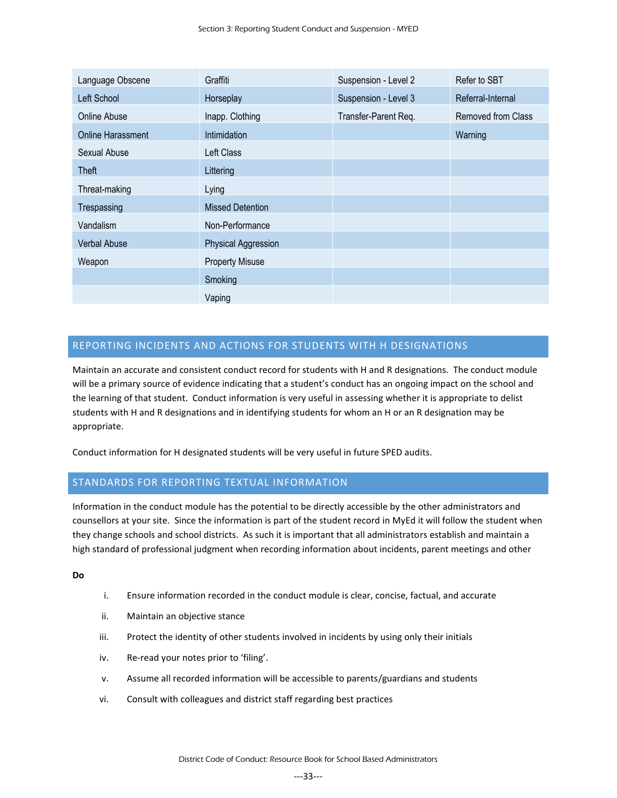| Language Obscene         | Graffiti                   | Suspension - Level 2 | Refer to SBT       |
|--------------------------|----------------------------|----------------------|--------------------|
| Left School              | Horseplay                  | Suspension - Level 3 | Referral-Internal  |
| Online Abuse             | Inapp. Clothing            | Transfer-Parent Req. | Removed from Class |
| <b>Online Harassment</b> | <b>Intimidation</b>        |                      | Warning            |
| Sexual Abuse             | Left Class                 |                      |                    |
| Theft                    | Littering                  |                      |                    |
| Threat-making            | Lying                      |                      |                    |
| Trespassing              | <b>Missed Detention</b>    |                      |                    |
| Vandalism                | Non-Performance            |                      |                    |
| <b>Verbal Abuse</b>      | <b>Physical Aggression</b> |                      |                    |
| Weapon                   | <b>Property Misuse</b>     |                      |                    |
|                          | Smoking                    |                      |                    |
|                          | Vaping                     |                      |                    |

# <span id="page-32-0"></span>REPORTING INCIDENTS AND ACTIONS FOR STUDENTS WITH H DESIGNATIONS

Maintain an accurate and consistent conduct record for students with H and R designations. The conduct module will be a primary source of evidence indicating that a student's conduct has an ongoing impact on the school and the learning of that student. Conduct information is very useful in assessing whether it is appropriate to delist students with H and R designations and in identifying students for whom an H or an R designation may be appropriate.

Conduct information for H designated students will be very useful in future SPED audits.

# <span id="page-32-1"></span>STANDARDS FOR REPORTING TEXTUAL INFORMATION

Information in the conduct module has the potential to be directly accessible by the other administrators and counsellors at your site. Since the information is part of the student record in MyEd it will follow the student when they change schools and school districts. As such it is important that all administrators establish and maintain a high standard of professional judgment when recording information about incidents, parent meetings and other

#### **Do**

- i. Ensure information recorded in the conduct module is clear, concise, factual, and accurate
- ii. Maintain an objective stance
- iii. Protect the identity of other students involved in incidents by using only their initials
- iv. Re-read your notes prior to 'filing'.
- v. Assume all recorded information will be accessible to parents/guardians and students
- vi. Consult with colleagues and district staff regarding best practices